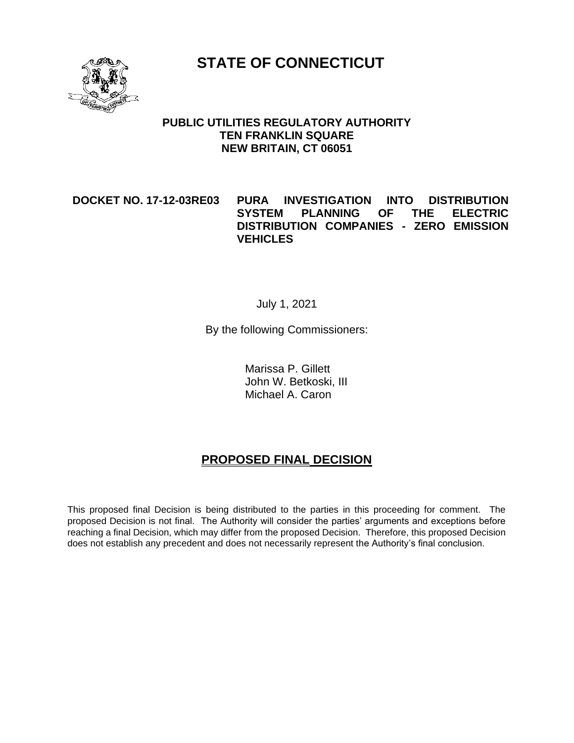**STATE OF CONNECTICUT**



#### **PUBLIC UTILITIES REGULATORY AUTHORITY TEN FRANKLIN SQUARE NEW BRITAIN, CT 06051**

#### **DOCKET NO. 17-12-03RE03 PURA INVESTIGATION INTO DISTRIBUTION SYSTEM PLANNING OF THE ELECTRIC DISTRIBUTION COMPANIES - ZERO EMISSION VEHICLES**

#### July 1, 2021

By the following Commissioners:

Marissa P. Gillett John W. Betkoski, III Michael A. Caron

# **PROPOSED FINAL DECISION**

This proposed final Decision is being distributed to the parties in this proceeding for comment. The proposed Decision is not final. The Authority will consider the parties' arguments and exceptions before reaching a final Decision, which may differ from the proposed Decision. Therefore, this proposed Decision does not establish any precedent and does not necessarily represent the Authority's final conclusion.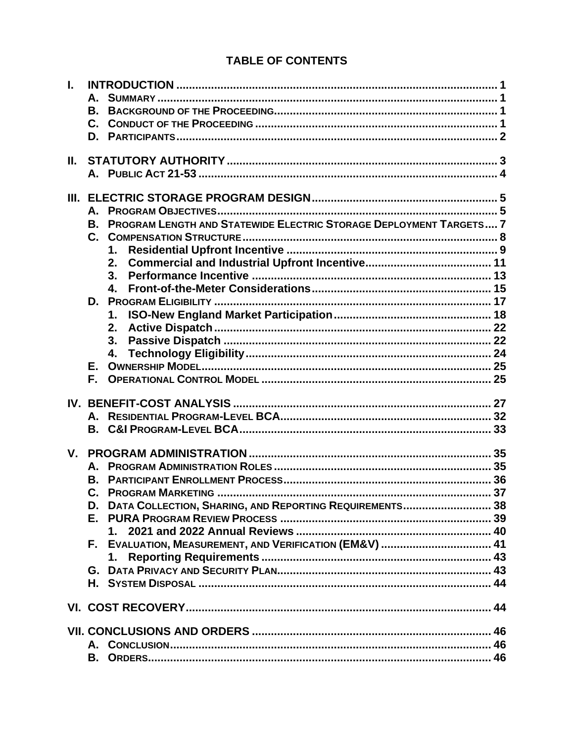# **TABLE OF CONTENTS**

| L.      |                                                                       |  |
|---------|-----------------------------------------------------------------------|--|
|         | А.                                                                    |  |
|         | <b>B.</b>                                                             |  |
|         |                                                                       |  |
|         |                                                                       |  |
|         |                                                                       |  |
| Ш.      |                                                                       |  |
|         |                                                                       |  |
|         |                                                                       |  |
|         |                                                                       |  |
|         |                                                                       |  |
|         | B. PROGRAM LENGTH AND STATEWIDE ELECTRIC STORAGE DEPLOYMENT TARGETS 7 |  |
|         |                                                                       |  |
|         | 1.                                                                    |  |
|         | 2.                                                                    |  |
|         | 3.                                                                    |  |
|         | 4.                                                                    |  |
|         |                                                                       |  |
|         | 1.                                                                    |  |
|         | 2.                                                                    |  |
|         | 3.                                                                    |  |
|         |                                                                       |  |
|         |                                                                       |  |
|         | F.                                                                    |  |
|         |                                                                       |  |
|         |                                                                       |  |
|         | $A_{-}$                                                               |  |
|         |                                                                       |  |
|         |                                                                       |  |
| $V_{-}$ |                                                                       |  |
|         |                                                                       |  |
|         | В.                                                                    |  |
|         | C.                                                                    |  |
|         | DATA COLLECTION, SHARING, AND REPORTING REQUIREMENTS 38<br>D.         |  |
|         | E.,                                                                   |  |
|         | 1.                                                                    |  |
|         | F. EVALUATION, MEASUREMENT, AND VERIFICATION (EM&V)  41               |  |
|         | 1.                                                                    |  |
|         |                                                                       |  |
|         |                                                                       |  |
|         |                                                                       |  |
|         |                                                                       |  |
|         |                                                                       |  |
|         |                                                                       |  |
|         | В.                                                                    |  |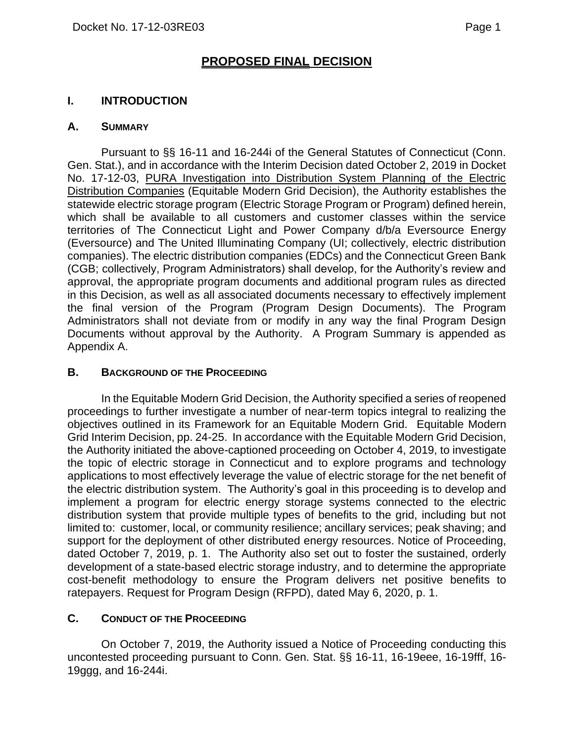# **PROPOSED FINAL DECISION**

### <span id="page-2-0"></span>**I. INTRODUCTION**

#### <span id="page-2-1"></span>**A. SUMMARY**

Pursuant to §§ 16-11 and 16-244i of the General Statutes of Connecticut (Conn. Gen. Stat.), and in accordance with the Interim Decision dated October 2, 2019 in Docket No. 17-12-03, PURA Investigation into Distribution System Planning of the Electric Distribution Companies (Equitable Modern Grid Decision), the Authority establishes the statewide electric storage program (Electric Storage Program or Program) defined herein, which shall be available to all customers and customer classes within the service territories of The Connecticut Light and Power Company d/b/a Eversource Energy (Eversource) and The United Illuminating Company (UI; collectively, electric distribution companies). The electric distribution companies (EDCs) and the Connecticut Green Bank (CGB; collectively, Program Administrators) shall develop, for the Authority's review and approval, the appropriate program documents and additional program rules as directed in this Decision, as well as all associated documents necessary to effectively implement the final version of the Program (Program Design Documents). The Program Administrators shall not deviate from or modify in any way the final Program Design Documents without approval by the Authority. A Program Summary is appended as Appendix A.

#### <span id="page-2-2"></span>**B. BACKGROUND OF THE PROCEEDING**

In the Equitable Modern Grid Decision, the Authority specified a series of reopened proceedings to further investigate a number of near-term topics integral to realizing the objectives outlined in its Framework for an Equitable Modern Grid. Equitable Modern Grid Interim Decision, pp. 24-25. In accordance with the Equitable Modern Grid Decision, the Authority initiated the above-captioned proceeding on October 4, 2019, to investigate the topic of electric storage in Connecticut and to explore programs and technology applications to most effectively leverage the value of electric storage for the net benefit of the electric distribution system. The Authority's goal in this proceeding is to develop and implement a program for electric energy storage systems connected to the electric distribution system that provide multiple types of benefits to the grid, including but not limited to: customer, local, or community resilience; ancillary services; peak shaving; and support for the deployment of other distributed energy resources. Notice of Proceeding, dated October 7, 2019, p. 1. The Authority also set out to foster the sustained, orderly development of a state-based electric storage industry, and to determine the appropriate cost-benefit methodology to ensure the Program delivers net positive benefits to ratepayers. Request for Program Design (RFPD), dated May 6, 2020, p. 1.

#### <span id="page-2-3"></span>**C. CONDUCT OF THE PROCEEDING**

On October 7, 2019, the Authority issued a Notice of Proceeding conducting this uncontested proceeding pursuant to Conn. Gen. Stat. §§ 16-11, 16-19eee, 16-19fff, 16- 19ggg, and 16-244i.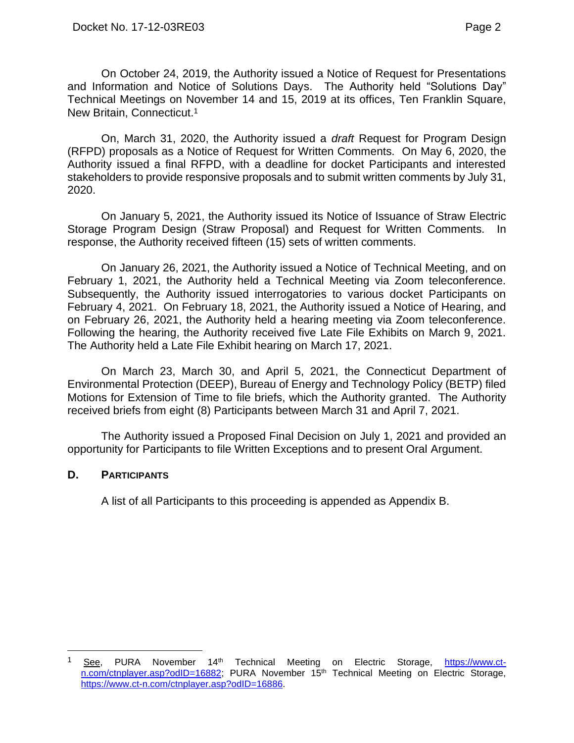On October 24, 2019, the Authority issued a Notice of Request for Presentations and Information and Notice of Solutions Days. The Authority held "Solutions Day" Technical Meetings on November 14 and 15, 2019 at its offices, Ten Franklin Square, New Britain, Connecticut.<sup>1</sup>

On, March 31, 2020, the Authority issued a *draft* Request for Program Design (RFPD) proposals as a Notice of Request for Written Comments. On May 6, 2020, the Authority issued a final RFPD, with a deadline for docket Participants and interested stakeholders to provide responsive proposals and to submit written comments by July 31, 2020.

On January 5, 2021, the Authority issued its Notice of Issuance of Straw Electric Storage Program Design (Straw Proposal) and Request for Written Comments. In response, the Authority received fifteen (15) sets of written comments.

On January 26, 2021, the Authority issued a Notice of Technical Meeting, and on February 1, 2021, the Authority held a Technical Meeting via Zoom teleconference. Subsequently, the Authority issued interrogatories to various docket Participants on February 4, 2021. On February 18, 2021, the Authority issued a Notice of Hearing, and on February 26, 2021, the Authority held a hearing meeting via Zoom teleconference. Following the hearing, the Authority received five Late File Exhibits on March 9, 2021. The Authority held a Late File Exhibit hearing on March 17, 2021.

On March 23, March 30, and April 5, 2021, the Connecticut Department of Environmental Protection (DEEP), Bureau of Energy and Technology Policy (BETP) filed Motions for Extension of Time to file briefs, which the Authority granted. The Authority received briefs from eight (8) Participants between March 31 and April 7, 2021.

The Authority issued a Proposed Final Decision on July 1, 2021 and provided an opportunity for Participants to file Written Exceptions and to present Oral Argument.

#### <span id="page-3-0"></span>**D. PARTICIPANTS**

A list of all Participants to this proceeding is appended as Appendix B.

<sup>&</sup>lt;sup>1</sup> See, PURA November 14<sup>th</sup> Technical Meeting on Electric Storage, [https://www.ct](https://www.ct-n.com/ctnplayer.asp?odID=16882)[n.com/ctnplayer.asp?odID=16882;](https://www.ct-n.com/ctnplayer.asp?odID=16882) PURA November 15<sup>th</sup> Technical Meeting on Electric Storage, [https://www.ct-n.com/ctnplayer.asp?odID=16886.](https://www.ct-n.com/ctnplayer.asp?odID=16886)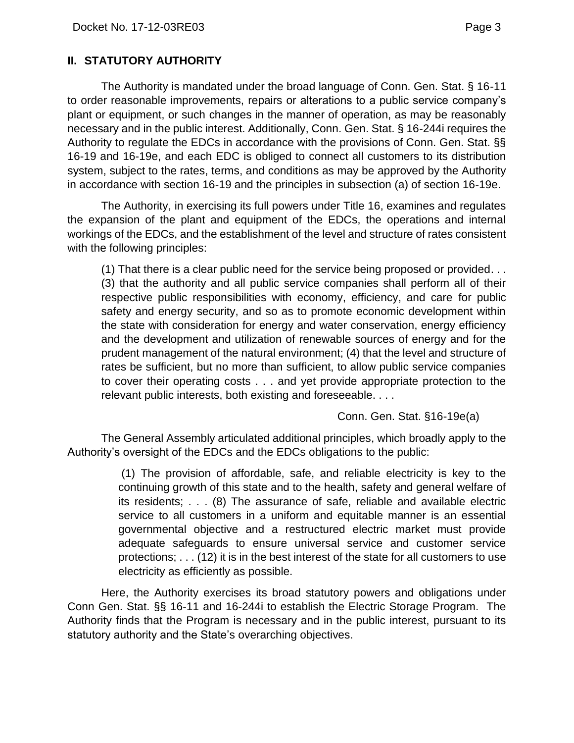### <span id="page-4-0"></span>**II. STATUTORY AUTHORITY**

The Authority is mandated under the broad language of Conn. Gen. Stat. § 16-11 to order reasonable improvements, repairs or alterations to a public service company's plant or equipment, or such changes in the manner of operation, as may be reasonably necessary and in the public interest. Additionally, Conn. Gen. Stat. § 16-244i requires the Authority to regulate the EDCs in accordance with the provisions of Conn. Gen. Stat. §§ 16-19 and 16-19e, and each EDC is obliged to connect all customers to its distribution system, subject to the rates, terms, and conditions as may be approved by the Authority in accordance with section 16-19 and the principles in subsection (a) of section 16-19e.

The Authority, in exercising its full powers under Title 16, examines and regulates the expansion of the plant and equipment of the EDCs, the operations and internal workings of the EDCs, and the establishment of the level and structure of rates consistent with the following principles:

(1) That there is a clear public need for the service being proposed or provided. . . (3) that the authority and all public service companies shall perform all of their respective public responsibilities with economy, efficiency, and care for public safety and energy security, and so as to promote economic development within the state with consideration for energy and water conservation, energy efficiency and the development and utilization of renewable sources of energy and for the prudent management of the natural environment; (4) that the level and structure of rates be sufficient, but no more than sufficient, to allow public service companies to cover their operating costs . . . and yet provide appropriate protection to the relevant public interests, both existing and foreseeable. . . .

Conn. Gen. Stat. §16-19e(a)

The General Assembly articulated additional principles, which broadly apply to the Authority's oversight of the EDCs and the EDCs obligations to the public:

> (1) The provision of affordable, safe, and reliable electricity is key to the continuing growth of this state and to the health, safety and general welfare of its residents; . . . (8) The assurance of safe, reliable and available electric service to all customers in a uniform and equitable manner is an essential governmental objective and a restructured electric market must provide adequate safeguards to ensure universal service and customer service protections; . . . (12) it is in the best interest of the state for all customers to use electricity as efficiently as possible.

Here, the Authority exercises its broad statutory powers and obligations under Conn Gen. Stat. §§ 16-11 and 16-244i to establish the Electric Storage Program. The Authority finds that the Program is necessary and in the public interest, pursuant to its statutory authority and the State's overarching objectives.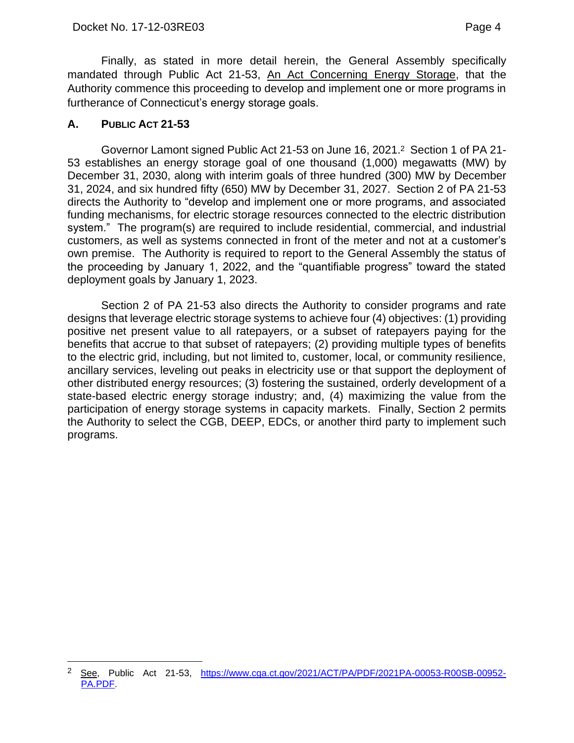Finally, as stated in more detail herein, the General Assembly specifically mandated through Public Act 21-53, An Act Concerning Energy Storage, that the Authority commence this proceeding to develop and implement one or more programs in furtherance of Connecticut's energy storage goals.

### <span id="page-5-0"></span>**A. PUBLIC ACT 21-53**

Governor Lamont signed Public Act 21-53 on June 16, 2021. <sup>2</sup> Section 1 of PA 21- 53 establishes an energy storage goal of one thousand (1,000) megawatts (MW) by December 31, 2030, along with interim goals of three hundred (300) MW by December 31, 2024, and six hundred fifty (650) MW by December 31, 2027. Section 2 of PA 21-53 directs the Authority to "develop and implement one or more programs, and associated funding mechanisms, for electric storage resources connected to the electric distribution system." The program(s) are required to include residential, commercial, and industrial customers, as well as systems connected in front of the meter and not at a customer's own premise. The Authority is required to report to the General Assembly the status of the proceeding by January 1, 2022, and the "quantifiable progress" toward the stated deployment goals by January 1, 2023.

Section 2 of PA 21-53 also directs the Authority to consider programs and rate designs that leverage electric storage systems to achieve four (4) objectives: (1) providing positive net present value to all ratepayers, or a subset of ratepayers paying for the benefits that accrue to that subset of ratepayers; (2) providing multiple types of benefits to the electric grid, including, but not limited to, customer, local, or community resilience, ancillary services, leveling out peaks in electricity use or that support the deployment of other distributed energy resources; (3) fostering the sustained, orderly development of a state-based electric energy storage industry; and, (4) maximizing the value from the participation of energy storage systems in capacity markets. Finally, Section 2 permits the Authority to select the CGB, DEEP, EDCs, or another third party to implement such programs.

<sup>2</sup> See, Public Act 21-53, [https://www.cga.ct.gov/2021/ACT/PA/PDF/2021PA-00053-R00SB-00952-](https://www.cga.ct.gov/2021/ACT/PA/PDF/2021PA-00053-R00SB-00952-PA.PDF) [PA.PDF.](https://www.cga.ct.gov/2021/ACT/PA/PDF/2021PA-00053-R00SB-00952-PA.PDF)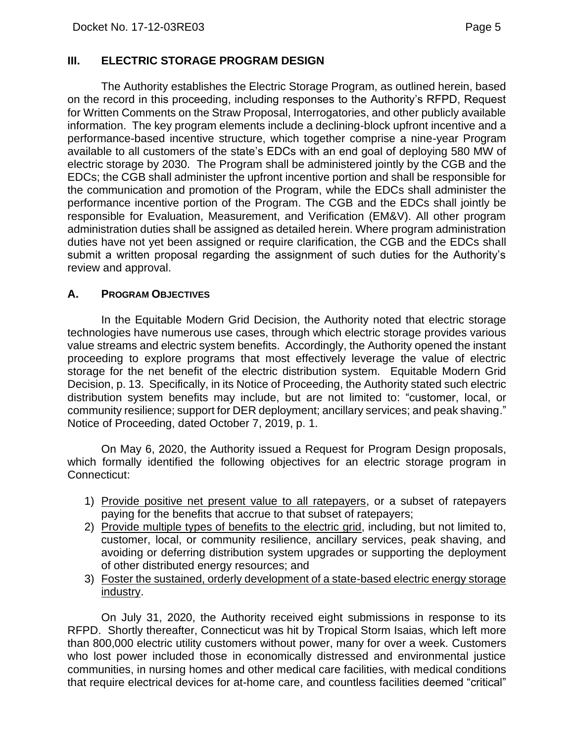#### <span id="page-6-0"></span>**III. ELECTRIC STORAGE PROGRAM DESIGN**

The Authority establishes the Electric Storage Program, as outlined herein, based on the record in this proceeding, including responses to the Authority's RFPD, Request for Written Comments on the Straw Proposal, Interrogatories, and other publicly available information. The key program elements include a declining-block upfront incentive and a performance-based incentive structure, which together comprise a nine-year Program available to all customers of the state's EDCs with an end goal of deploying 580 MW of electric storage by 2030. The Program shall be administered jointly by the CGB and the EDCs; the CGB shall administer the upfront incentive portion and shall be responsible for the communication and promotion of the Program, while the EDCs shall administer the performance incentive portion of the Program. The CGB and the EDCs shall jointly be responsible for Evaluation, Measurement, and Verification (EM&V). All other program administration duties shall be assigned as detailed herein. Where program administration duties have not yet been assigned or require clarification, the CGB and the EDCs shall submit a written proposal regarding the assignment of such duties for the Authority's review and approval.

#### <span id="page-6-1"></span>**A. PROGRAM OBJECTIVES**

In the Equitable Modern Grid Decision, the Authority noted that electric storage technologies have numerous use cases, through which electric storage provides various value streams and electric system benefits. Accordingly, the Authority opened the instant proceeding to explore programs that most effectively leverage the value of electric storage for the net benefit of the electric distribution system. Equitable Modern Grid Decision, p. 13. Specifically, in its Notice of Proceeding, the Authority stated such electric distribution system benefits may include, but are not limited to: "customer, local, or community resilience; support for DER deployment; ancillary services; and peak shaving." Notice of Proceeding, dated October 7, 2019, p. 1.

On May 6, 2020, the Authority issued a Request for Program Design proposals, which formally identified the following objectives for an electric storage program in Connecticut:

- 1) Provide positive net present value to all ratepayers, or a subset of ratepayers paying for the benefits that accrue to that subset of ratepayers;
- 2) Provide multiple types of benefits to the electric grid, including, but not limited to, customer, local, or community resilience, ancillary services, peak shaving, and avoiding or deferring distribution system upgrades or supporting the deployment of other distributed energy resources; and
- 3) Foster the sustained, orderly development of a state-based electric energy storage industry.

On July 31, 2020, the Authority received eight submissions in response to its RFPD. Shortly thereafter, Connecticut was hit by Tropical Storm Isaias, which left more than 800,000 electric utility customers without power, many for over a week. Customers who lost power included those in economically distressed and environmental justice communities, in nursing homes and other medical care facilities, with medical conditions that require electrical devices for at-home care, and countless facilities deemed "critical"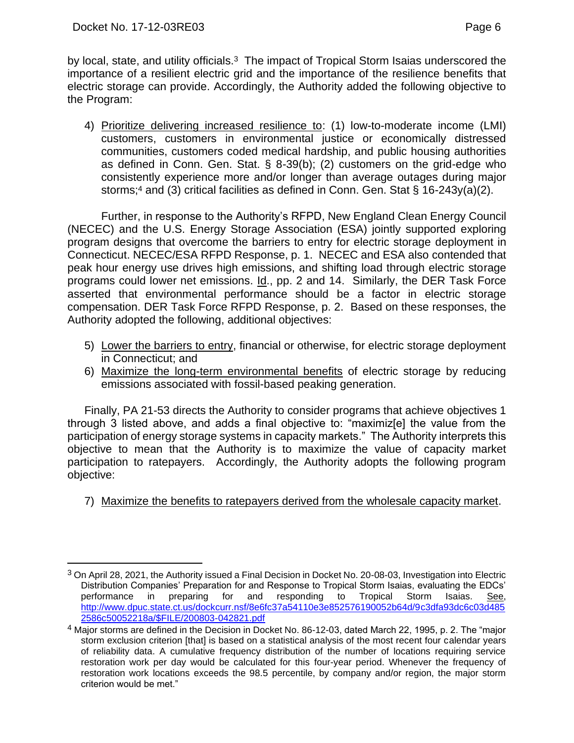by local, state, and utility officials.<sup>3</sup> The impact of Tropical Storm Isaias underscored the importance of a resilient electric grid and the importance of the resilience benefits that electric storage can provide. Accordingly, the Authority added the following objective to the Program:

4) Prioritize delivering increased resilience to: (1) low-to-moderate income (LMI) customers, customers in environmental justice or economically distressed communities, customers coded medical hardship, and public housing authorities as defined in Conn. Gen. Stat. § 8-39(b); (2) customers on the grid-edge who consistently experience more and/or longer than average outages during major storms;<sup>4</sup> and (3) critical facilities as defined in Conn. Gen. Stat § 16-243y(a)(2).

Further, in response to the Authority's RFPD, New England Clean Energy Council (NECEC) and the U.S. Energy Storage Association (ESA) jointly supported exploring program designs that overcome the barriers to entry for electric storage deployment in Connecticut. NECEC/ESA RFPD Response, p. 1. NECEC and ESA also contended that peak hour energy use drives high emissions, and shifting load through electric storage programs could lower net emissions. Id., pp. 2 and 14. Similarly, the DER Task Force asserted that environmental performance should be a factor in electric storage compensation. DER Task Force RFPD Response, p. 2. Based on these responses, the Authority adopted the following, additional objectives:

- 5) Lower the barriers to entry, financial or otherwise, for electric storage deployment in Connecticut; and
- 6) Maximize the long-term environmental benefits of electric storage by reducing emissions associated with fossil-based peaking generation.

Finally, PA 21-53 directs the Authority to consider programs that achieve objectives 1 through 3 listed above, and adds a final objective to: "maximiz[e] the value from the participation of energy storage systems in capacity markets." The Authority interprets this objective to mean that the Authority is to maximize the value of capacity market participation to ratepayers. Accordingly, the Authority adopts the following program objective:

7) Maximize the benefits to ratepayers derived from the wholesale capacity market.

<sup>3</sup> On April 28, 2021, the Authority issued a Final Decision in Docket No. 20-08-03, Investigation into Electric Distribution Companies' Preparation for and Response to Tropical Storm Isaias, evaluating the EDCs' performance in preparing for and responding to Tropical Storm Isaias. See, [http://www.dpuc.state.ct.us/dockcurr.nsf/8e6fc37a54110e3e852576190052b64d/9c3dfa93dc6c03d485](http://www.dpuc.state.ct.us/dockcurr.nsf/8e6fc37a54110e3e852576190052b64d/9c3dfa93dc6c03d4852586c50052218a/$FILE/200803-042821.pdf) [2586c50052218a/\\$FILE/200803-042821.pdf](http://www.dpuc.state.ct.us/dockcurr.nsf/8e6fc37a54110e3e852576190052b64d/9c3dfa93dc6c03d4852586c50052218a/$FILE/200803-042821.pdf)

<sup>4</sup> Major storms are defined in the Decision in Docket No. 86-12-03, dated March 22, 1995, p. 2. The "major storm exclusion criterion [that] is based on a statistical analysis of the most recent four calendar years of reliability data. A cumulative frequency distribution of the number of locations requiring service restoration work per day would be calculated for this four-year period. Whenever the frequency of restoration work locations exceeds the 98.5 percentile, by company and/or region, the major storm criterion would be met."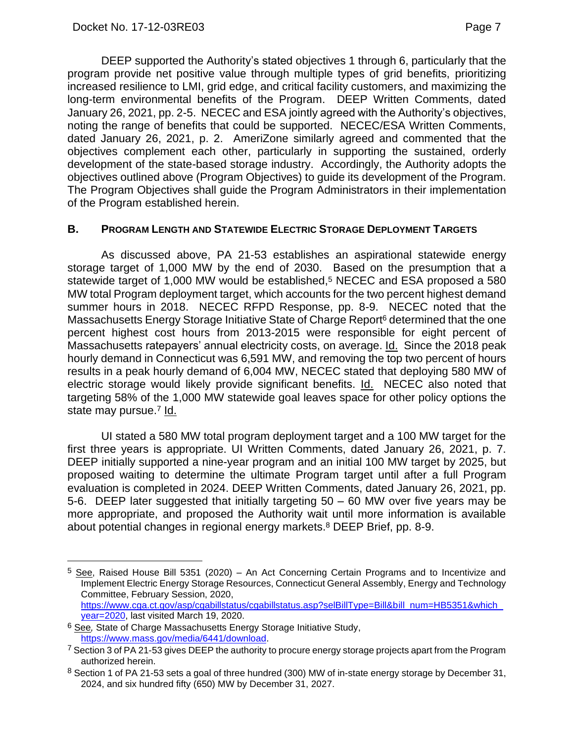DEEP supported the Authority's stated objectives 1 through 6, particularly that the program provide net positive value through multiple types of grid benefits, prioritizing increased resilience to LMI, grid edge, and critical facility customers, and maximizing the long-term environmental benefits of the Program. DEEP Written Comments, dated January 26, 2021, pp. 2-5. NECEC and ESA jointly agreed with the Authority's objectives, noting the range of benefits that could be supported. NECEC/ESA Written Comments, dated January 26, 2021, p. 2. AmeriZone similarly agreed and commented that the objectives complement each other, particularly in supporting the sustained, orderly development of the state-based storage industry. Accordingly, the Authority adopts the objectives outlined above (Program Objectives) to guide its development of the Program. The Program Objectives shall guide the Program Administrators in their implementation of the Program established herein.

#### <span id="page-8-0"></span>**B. PROGRAM LENGTH AND STATEWIDE ELECTRIC STORAGE DEPLOYMENT TARGETS**

As discussed above, PA 21-53 establishes an aspirational statewide energy storage target of 1,000 MW by the end of 2030. Based on the presumption that a statewide target of 1,000 MW would be established,<sup>5</sup> NECEC and ESA proposed a 580 MW total Program deployment target, which accounts for the two percent highest demand summer hours in 2018. NECEC RFPD Response, pp. 8-9. NECEC noted that the Massachusetts Energy Storage Initiative State of Charge Report<sup>6</sup> determined that the one percent highest cost hours from 2013-2015 were responsible for eight percent of Massachusetts ratepayers' annual electricity costs, on average. Id. Since the 2018 peak hourly demand in Connecticut was 6,591 MW, and removing the top two percent of hours results in a peak hourly demand of 6,004 MW, NECEC stated that deploying 580 MW of electric storage would likely provide significant benefits. Id. NECEC also noted that targeting 58% of the 1,000 MW statewide goal leaves space for other policy options the state may pursue.<sup>7</sup> Id.

UI stated a 580 MW total program deployment target and a 100 MW target for the first three years is appropriate. UI Written Comments, dated January 26, 2021, p. 7. DEEP initially supported a nine-year program and an initial 100 MW target by 2025, but proposed waiting to determine the ultimate Program target until after a full Program evaluation is completed in 2024. DEEP Written Comments, dated January 26, 2021, pp. 5-6. DEEP later suggested that initially targeting 50 – 60 MW over five years may be more appropriate, and proposed the Authority wait until more information is available about potential changes in regional energy markets. <sup>8</sup> DEEP Brief, pp. 8-9.

<sup>&</sup>lt;sup>5</sup> See, Raised House Bill 5351 (2020) – An Act Concerning Certain Programs and to Incentivize and Implement Electric Energy Storage Resources, Connecticut General Assembly, Energy and Technology Committee, February Session, 2020, [https://www.cga.ct.gov/asp/cgabillstatus/cgabillstatus.asp?selBillType=Bill&bill\\_num=HB5351&which\\_](https://www.cga.ct.gov/asp/cgabillstatus/cgabillstatus.asp?selBillType=Bill&bill_num=HB5351&which_year=2020) [year=2020,](https://www.cga.ct.gov/asp/cgabillstatus/cgabillstatus.asp?selBillType=Bill&bill_num=HB5351&which_year=2020) last visited March 19, 2020.

<sup>6</sup> See*,* State of Charge Massachusetts Energy Storage Initiative Study, [https://www.mass.gov/media/6441/download.](https://www.mass.gov/media/6441/download)

<sup>&</sup>lt;sup>7</sup> Section 3 of PA 21-53 gives DEEP the authority to procure energy storage projects apart from the Program authorized herein.

<sup>8</sup> Section 1 of PA 21-53 sets a goal of three hundred (300) MW of in-state energy storage by December 31, 2024, and six hundred fifty (650) MW by December 31, 2027.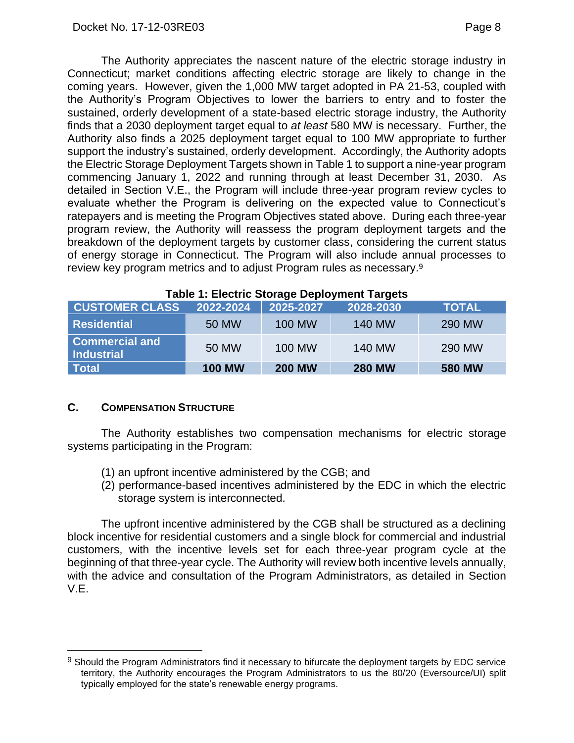The Authority appreciates the nascent nature of the electric storage industry in Connecticut; market conditions affecting electric storage are likely to change in the coming years. However, given the 1,000 MW target adopted in PA 21-53, coupled with the Authority's Program Objectives to lower the barriers to entry and to foster the sustained, orderly development of a state-based electric storage industry, the Authority finds that a 2030 deployment target equal to *at least* 580 MW is necessary. Further, the Authority also finds a 2025 deployment target equal to 100 MW appropriate to further support the industry's sustained, orderly development. Accordingly, the Authority adopts the Electric Storage Deployment Targets shown in Table 1 to support a nine-year program commencing January 1, 2022 and running through at least December 31, 2030. As detailed in Section V.E., the Program will include three-year program review cycles to evaluate whether the Program is delivering on the expected value to Connecticut's ratepayers and is meeting the Program Objectives stated above. During each three-year program review, the Authority will reassess the program deployment targets and the breakdown of the deployment targets by customer class, considering the current status of energy storage in Connecticut. The Program will also include annual processes to review key program metrics and to adjust Program rules as necessary.<sup>9</sup>

| $\frac{1}{2}$ and $\frac{1}{2}$ and $\frac{1}{2}$ and $\frac{1}{2}$ and $\frac{1}{2}$ and $\frac{1}{2}$ and $\frac{1}{2}$ and $\frac{1}{2}$ and $\frac{1}{2}$ and $\frac{1}{2}$ |               |               |               |               |  |
|---------------------------------------------------------------------------------------------------------------------------------------------------------------------------------|---------------|---------------|---------------|---------------|--|
| <b>CUSTOMER CLASS</b>                                                                                                                                                           | 2022-2024     | 2025-2027     | 2028-2030     | <b>TOTAL</b>  |  |
| <b>Residential</b>                                                                                                                                                              | 50 MW         | <b>100 MW</b> | <b>140 MW</b> | 290 MW        |  |
| <b>Commercial and</b><br>Industrial                                                                                                                                             | 50 MW         | <b>100 MW</b> | <b>140 MW</b> | 290 MW        |  |
| Total                                                                                                                                                                           | <b>100 MW</b> | <b>200 MW</b> | <b>280 MW</b> | <b>580 MW</b> |  |

#### **Table 1: Electric Storage Deployment Targets**

#### <span id="page-9-0"></span>**C. COMPENSATION STRUCTURE**

The Authority establishes two compensation mechanisms for electric storage systems participating in the Program:

- (1) an upfront incentive administered by the CGB; and
- (2) performance-based incentives administered by the EDC in which the electric storage system is interconnected.

The upfront incentive administered by the CGB shall be structured as a declining block incentive for residential customers and a single block for commercial and industrial customers, with the incentive levels set for each three-year program cycle at the beginning of that three-year cycle. The Authority will review both incentive levels annually, with the advice and consultation of the Program Administrators, as detailed in Section V.E.

<sup>9</sup> Should the Program Administrators find it necessary to bifurcate the deployment targets by EDC service territory, the Authority encourages the Program Administrators to us the 80/20 (Eversource/UI) split typically employed for the state's renewable energy programs.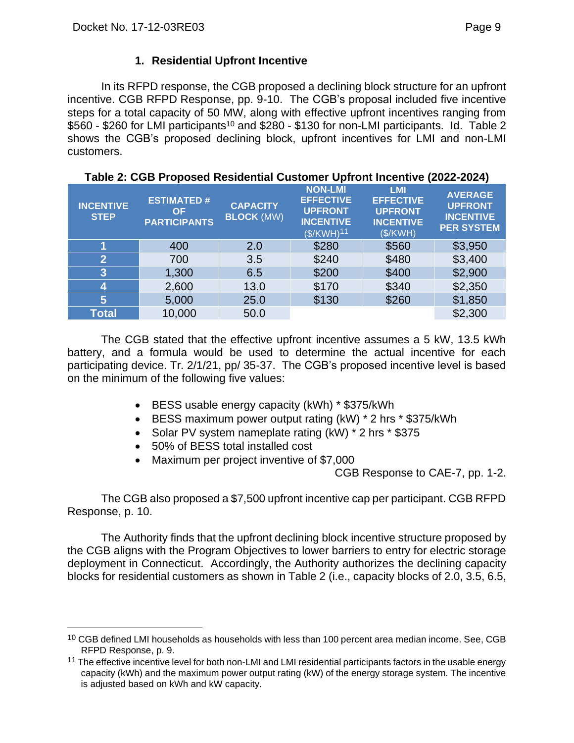# **1. Residential Upfront Incentive**

<span id="page-10-0"></span>In its RFPD response, the CGB proposed a declining block structure for an upfront incentive. CGB RFPD Response, pp. 9-10. The CGB's proposal included five incentive steps for a total capacity of 50 MW, along with effective upfront incentives ranging from \$560 - \$260 for LMI participants<sup>10</sup> and \$280 - \$130 for non-LMI participants. Id. Table 2 shows the CGB's proposed declining block, upfront incentives for LMI and non-LMI customers.

| <b>INCENTIVE</b><br><b>STEP</b> | <b>ESTIMATED#</b><br>ΟF<br><b>PARTICIPANTS</b> | <b>CAPACITY</b><br><b>BLOCK (MW)</b> | <b>NON-LMI</b><br><b>EFFECTIVE</b><br><b>UPFRONT</b><br><b>INCENTIVE</b><br>$($/KWH)^{11}$ | <b>LMI</b><br><b>EFFECTIVE</b><br><b>UPFRONT</b><br><b>INCENTIVE</b><br>(S/KWH) | <b>AVERAGE</b><br><b>UPFRONT</b><br><b>INCENTIVE</b><br><b>PER SYSTEM</b> |
|---------------------------------|------------------------------------------------|--------------------------------------|--------------------------------------------------------------------------------------------|---------------------------------------------------------------------------------|---------------------------------------------------------------------------|
|                                 | 400                                            | 2.0                                  | \$280                                                                                      | \$560                                                                           | \$3,950                                                                   |
| $\overline{2}$                  | 700                                            | 3.5                                  | \$240                                                                                      | \$480                                                                           | \$3,400                                                                   |
| 3                               | 1,300                                          | 6.5                                  | \$200                                                                                      | \$400                                                                           | \$2,900                                                                   |
| 4                               | 2,600                                          | 13.0                                 | \$170                                                                                      | \$340                                                                           | \$2,350                                                                   |
| 5                               | 5,000                                          | 25.0                                 | \$130                                                                                      | \$260                                                                           | \$1,850                                                                   |
| <b>Total</b>                    | 10,000                                         | 50.0                                 |                                                                                            |                                                                                 | \$2,300                                                                   |

**Table 2: CGB Proposed Residential Customer Upfront Incentive (2022-2024)**

The CGB stated that the effective upfront incentive assumes a 5 kW, 13.5 kWh battery, and a formula would be used to determine the actual incentive for each participating device. Tr. 2/1/21, pp/ 35-37. The CGB's proposed incentive level is based on the minimum of the following five values:

- BESS usable energy capacity (kWh) \* \$375/kWh
- BESS maximum power output rating (kW) \* 2 hrs \* \$375/kWh
- Solar PV system nameplate rating (kW) \* 2 hrs \* \$375
- 50% of BESS total installed cost
- Maximum per project inventive of \$7,000

CGB Response to CAE-7, pp. 1-2.

The CGB also proposed a \$7,500 upfront incentive cap per participant. CGB RFPD Response, p. 10.

The Authority finds that the upfront declining block incentive structure proposed by the CGB aligns with the Program Objectives to lower barriers to entry for electric storage deployment in Connecticut. Accordingly, the Authority authorizes the declining capacity blocks for residential customers as shown in Table 2 (i.e., capacity blocks of 2.0, 3.5, 6.5,

<sup>&</sup>lt;sup>10</sup> CGB defined LMI households as households with less than 100 percent area median income. See, CGB RFPD Response, p. 9.

<sup>&</sup>lt;sup>11</sup> The effective incentive level for both non-LMI and LMI residential participants factors in the usable energy capacity (kWh) and the maximum power output rating (kW) of the energy storage system. The incentive is adjusted based on kWh and kW capacity.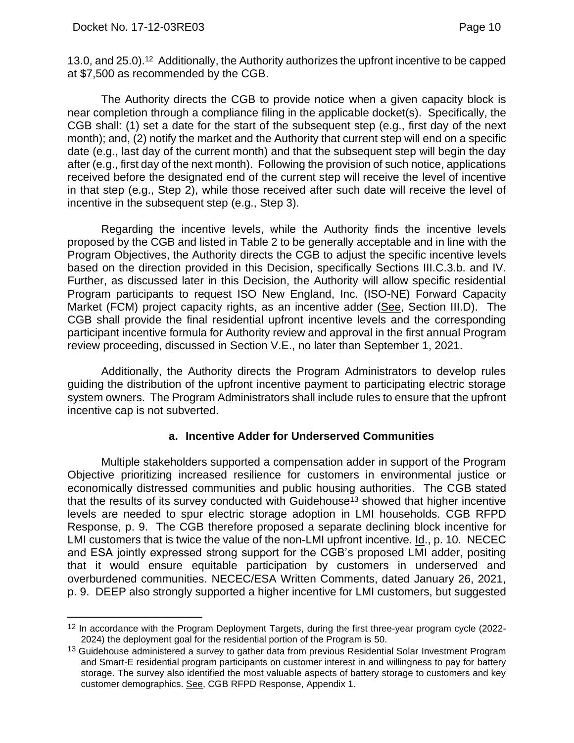13.0, and 25.0).12 Additionally, the Authority authorizes the upfront incentive to be capped at \$7,500 as recommended by the CGB.

The Authority directs the CGB to provide notice when a given capacity block is near completion through a compliance filing in the applicable docket(s). Specifically, the CGB shall: (1) set a date for the start of the subsequent step (e.g., first day of the next month); and, (2) notify the market and the Authority that current step will end on a specific date (e.g., last day of the current month) and that the subsequent step will begin the day after (e.g., first day of the next month). Following the provision of such notice, applications received before the designated end of the current step will receive the level of incentive in that step (e.g., Step 2), while those received after such date will receive the level of incentive in the subsequent step (e.g., Step 3).

Regarding the incentive levels, while the Authority finds the incentive levels proposed by the CGB and listed in Table 2 to be generally acceptable and in line with the Program Objectives, the Authority directs the CGB to adjust the specific incentive levels based on the direction provided in this Decision, specifically Sections III.C.3.b. and IV. Further, as discussed later in this Decision, the Authority will allow specific residential Program participants to request ISO New England, Inc. (ISO-NE) Forward Capacity Market (FCM) project capacity rights, as an incentive adder (See, Section III.D). The CGB shall provide the final residential upfront incentive levels and the corresponding participant incentive formula for Authority review and approval in the first annual Program review proceeding, discussed in Section V.E., no later than September 1, 2021.

Additionally, the Authority directs the Program Administrators to develop rules guiding the distribution of the upfront incentive payment to participating electric storage system owners. The Program Administrators shall include rules to ensure that the upfront incentive cap is not subverted.

#### **a. Incentive Adder for Underserved Communities**

Multiple stakeholders supported a compensation adder in support of the Program Objective prioritizing increased resilience for customers in environmental justice or economically distressed communities and public housing authorities. The CGB stated that the results of its survey conducted with Guidehouse<sup>13</sup> showed that higher incentive levels are needed to spur electric storage adoption in LMI households. CGB RFPD Response, p. 9. The CGB therefore proposed a separate declining block incentive for LMI customers that is twice the value of the non-LMI upfront incentive. Id., p. 10. NECEC and ESA jointly expressed strong support for the CGB's proposed LMI adder, positing that it would ensure equitable participation by customers in underserved and overburdened communities. NECEC/ESA Written Comments, dated January 26, 2021, p. 9. DEEP also strongly supported a higher incentive for LMI customers, but suggested

<sup>&</sup>lt;sup>12</sup> In accordance with the Program Deployment Targets, during the first three-year program cycle (2022-2024) the deployment goal for the residential portion of the Program is 50.

<sup>&</sup>lt;sup>13</sup> Guidehouse administered a survey to gather data from previous Residential Solar Investment Program and Smart-E residential program participants on customer interest in and willingness to pay for battery storage. The survey also identified the most valuable aspects of battery storage to customers and key customer demographics. See, CGB RFPD Response, Appendix 1.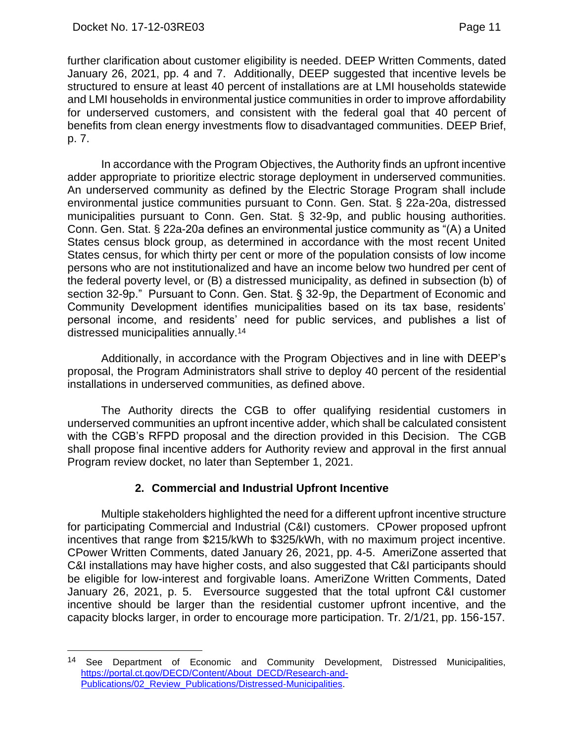further clarification about customer eligibility is needed. DEEP Written Comments, dated January 26, 2021, pp. 4 and 7. Additionally, DEEP suggested that incentive levels be structured to ensure at least 40 percent of installations are at LMI households statewide and LMI households in environmental justice communities in order to improve affordability for underserved customers, and consistent with the federal goal that 40 percent of benefits from clean energy investments flow to disadvantaged communities. DEEP Brief, p. 7.

In accordance with the Program Objectives, the Authority finds an upfront incentive adder appropriate to prioritize electric storage deployment in underserved communities. An underserved community as defined by the Electric Storage Program shall include environmental justice communities pursuant to Conn. Gen. Stat. § 22a-20a, distressed municipalities pursuant to Conn. Gen. Stat. § 32-9p, and public housing authorities. Conn. Gen. Stat. § 22a-20a defines an environmental justice community as "(A) a United States census block group, as determined in accordance with the most recent United States census, for which thirty per cent or more of the population consists of low income persons who are not institutionalized and have an income below two hundred per cent of the federal poverty level, or (B) a distressed municipality, as defined in subsection (b) of section 32-9p." Pursuant to Conn. Gen. Stat. § 32-9p, the Department of Economic and Community Development identifies municipalities based on its tax base, residents' personal income, and residents' need for public services, and publishes a list of distressed municipalities annually.<sup>14</sup>

Additionally, in accordance with the Program Objectives and in line with DEEP's proposal, the Program Administrators shall strive to deploy 40 percent of the residential installations in underserved communities, as defined above.

The Authority directs the CGB to offer qualifying residential customers in underserved communities an upfront incentive adder, which shall be calculated consistent with the CGB's RFPD proposal and the direction provided in this Decision. The CGB shall propose final incentive adders for Authority review and approval in the first annual Program review docket, no later than September 1, 2021.

# **2. Commercial and Industrial Upfront Incentive**

<span id="page-12-0"></span>Multiple stakeholders highlighted the need for a different upfront incentive structure for participating Commercial and Industrial (C&I) customers. CPower proposed upfront incentives that range from \$215/kWh to \$325/kWh, with no maximum project incentive. CPower Written Comments, dated January 26, 2021, pp. 4-5. AmeriZone asserted that C&I installations may have higher costs, and also suggested that C&I participants should be eligible for low-interest and forgivable loans. AmeriZone Written Comments, Dated January 26, 2021, p. 5. Eversource suggested that the total upfront C&I customer incentive should be larger than the residential customer upfront incentive, and the capacity blocks larger, in order to encourage more participation. Tr. 2/1/21, pp. 156-157.

<sup>14</sup> See Department of Economic and Community Development, Distressed Municipalities, [https://portal.ct.gov/DECD/Content/About\\_DECD/Research-and-](https://portal.ct.gov/DECD/Content/About_DECD/Research-and-Publications/02_Review_Publications/Distressed-Municipalities)[Publications/02\\_Review\\_Publications/Distressed-Municipalities.](https://portal.ct.gov/DECD/Content/About_DECD/Research-and-Publications/02_Review_Publications/Distressed-Municipalities)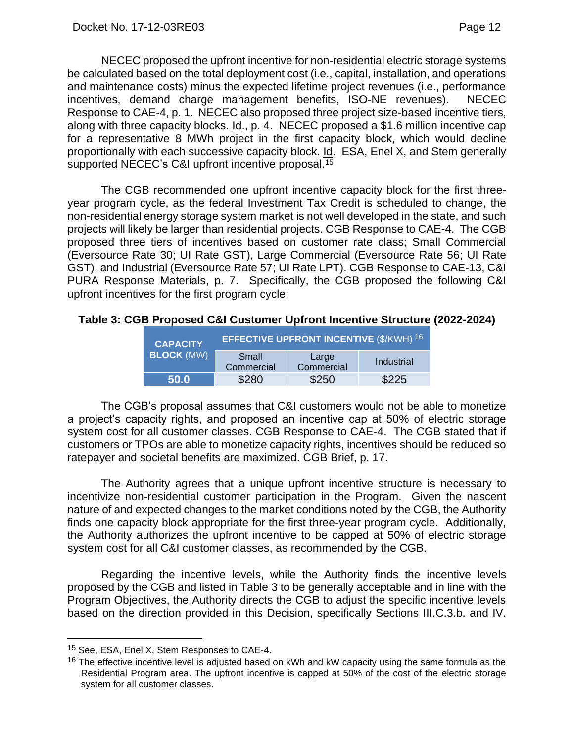NECEC proposed the upfront incentive for non-residential electric storage systems be calculated based on the total deployment cost (i.e., capital, installation, and operations and maintenance costs) minus the expected lifetime project revenues (i.e., performance incentives, demand charge management benefits, ISO-NE revenues). NECEC Response to CAE-4, p. 1. NECEC also proposed three project size-based incentive tiers, along with three capacity blocks. Id., p. 4. NECEC proposed a \$1.6 million incentive cap for a representative 8 MWh project in the first capacity block, which would decline proportionally with each successive capacity block. Id. ESA, Enel X, and Stem generally supported NECEC's C&I upfront incentive proposal. 15

The CGB recommended one upfront incentive capacity block for the first threeyear program cycle, as the federal Investment Tax Credit is scheduled to change, the non-residential energy storage system market is not well developed in the state, and such projects will likely be larger than residential projects. CGB Response to CAE-4. The CGB proposed three tiers of incentives based on customer rate class; Small Commercial (Eversource Rate 30; UI Rate GST), Large Commercial (Eversource Rate 56; UI Rate GST), and Industrial (Eversource Rate 57; UI Rate LPT). CGB Response to CAE-13, C&I PURA Response Materials, p. 7. Specifically, the CGB proposed the following C&I upfront incentives for the first program cycle:

#### **Table 3: CGB Proposed C&I Customer Upfront Incentive Structure (2022-2024)**

| <b>CAPACITY</b>   | <b>EFFECTIVE UPFRONT INCENTIVE (\$/KWH) 16</b> |                     |            |  |
|-------------------|------------------------------------------------|---------------------|------------|--|
| <b>BLOCK (MW)</b> | Small<br>Commercial                            | Large<br>Commercial | Industrial |  |
| 50.0              | \$280                                          | \$250               | \$225      |  |

The CGB's proposal assumes that C&I customers would not be able to monetize a project's capacity rights, and proposed an incentive cap at 50% of electric storage system cost for all customer classes. CGB Response to CAE-4. The CGB stated that if customers or TPOs are able to monetize capacity rights, incentives should be reduced so ratepayer and societal benefits are maximized. CGB Brief, p. 17.

The Authority agrees that a unique upfront incentive structure is necessary to incentivize non-residential customer participation in the Program. Given the nascent nature of and expected changes to the market conditions noted by the CGB, the Authority finds one capacity block appropriate for the first three-year program cycle. Additionally, the Authority authorizes the upfront incentive to be capped at 50% of electric storage system cost for all C&I customer classes, as recommended by the CGB.

Regarding the incentive levels, while the Authority finds the incentive levels proposed by the CGB and listed in Table 3 to be generally acceptable and in line with the Program Objectives, the Authority directs the CGB to adjust the specific incentive levels based on the direction provided in this Decision, specifically Sections III.C.3.b. and IV.

<sup>&</sup>lt;sup>15</sup> See, ESA, Enel X, Stem Responses to CAE-4.

 $16$  The effective incentive level is adjusted based on kWh and kW capacity using the same formula as the Residential Program area. The upfront incentive is capped at 50% of the cost of the electric storage system for all customer classes.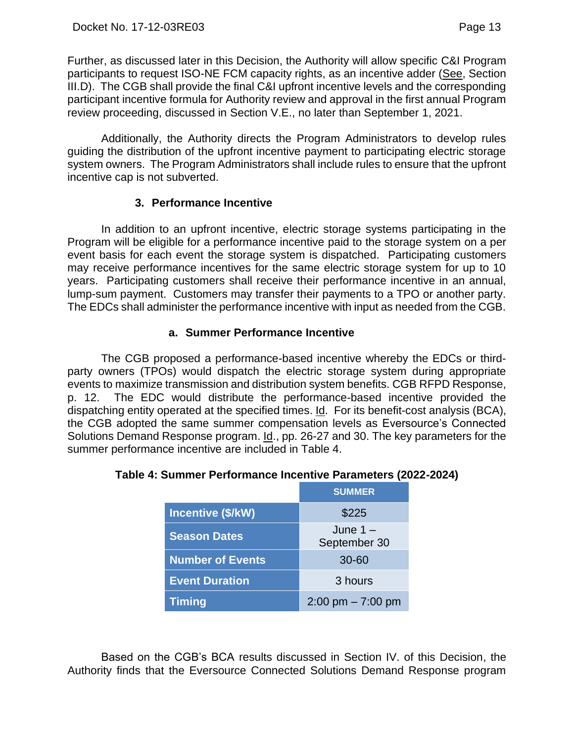Further, as discussed later in this Decision, the Authority will allow specific C&I Program participants to request ISO-NE FCM capacity rights, as an incentive adder (See, Section III.D). The CGB shall provide the final C&I upfront incentive levels and the corresponding participant incentive formula for Authority review and approval in the first annual Program review proceeding, discussed in Section V.E., no later than September 1, 2021.

Additionally, the Authority directs the Program Administrators to develop rules guiding the distribution of the upfront incentive payment to participating electric storage system owners. The Program Administrators shall include rules to ensure that the upfront incentive cap is not subverted.

### **3. Performance Incentive**

<span id="page-14-0"></span>In addition to an upfront incentive, electric storage systems participating in the Program will be eligible for a performance incentive paid to the storage system on a per event basis for each event the storage system is dispatched. Participating customers may receive performance incentives for the same electric storage system for up to 10 years. Participating customers shall receive their performance incentive in an annual, lump-sum payment. Customers may transfer their payments to a TPO or another party. The EDCs shall administer the performance incentive with input as needed from the CGB.

### **a. Summer Performance Incentive**

The CGB proposed a performance-based incentive whereby the EDCs or thirdparty owners (TPOs) would dispatch the electric storage system during appropriate events to maximize transmission and distribution system benefits. CGB RFPD Response, p. 12. The EDC would distribute the performance-based incentive provided the dispatching entity operated at the specified times. Id. For its benefit-cost analysis (BCA), the CGB adopted the same summer compensation levels as Eversource's Connected Solutions Demand Response program. Id., pp. 26-27 and 30. The key parameters for the summer performance incentive are included in Table 4.

|                         | <b>SUMMER</b>                       |
|-------------------------|-------------------------------------|
| Incentive (\$/kW)       | \$225                               |
| <b>Season Dates</b>     | June $1 -$<br>September 30          |
| <b>Number of Events</b> | $30 - 60$                           |
| <b>Event Duration</b>   | 3 hours                             |
| <b>Timing</b>           | $2:00 \text{ pm} - 7:00 \text{ pm}$ |

# **Table 4: Summer Performance Incentive Parameters (2022-2024)**

Based on the CGB's BCA results discussed in Section IV. of this Decision, the Authority finds that the Eversource Connected Solutions Demand Response program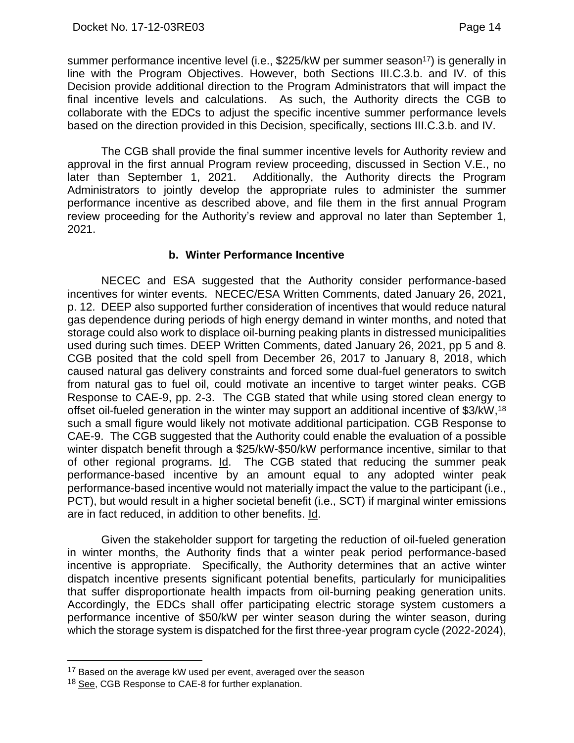summer performance incentive level (i.e., \$225/kW per summer season<sup>17</sup>) is generally in line with the Program Objectives. However, both Sections III.C.3.b. and IV. of this Decision provide additional direction to the Program Administrators that will impact the final incentive levels and calculations. As such, the Authority directs the CGB to collaborate with the EDCs to adjust the specific incentive summer performance levels based on the direction provided in this Decision, specifically, sections III.C.3.b. and IV.

The CGB shall provide the final summer incentive levels for Authority review and approval in the first annual Program review proceeding, discussed in Section V.E., no later than September 1, 2021. Additionally, the Authority directs the Program Administrators to jointly develop the appropriate rules to administer the summer performance incentive as described above, and file them in the first annual Program review proceeding for the Authority's review and approval no later than September 1, 2021.

### **b. Winter Performance Incentive**

NECEC and ESA suggested that the Authority consider performance-based incentives for winter events. NECEC/ESA Written Comments, dated January 26, 2021, p. 12. DEEP also supported further consideration of incentives that would reduce natural gas dependence during periods of high energy demand in winter months, and noted that storage could also work to displace oil-burning peaking plants in distressed municipalities used during such times. DEEP Written Comments, dated January 26, 2021, pp 5 and 8. CGB posited that the cold spell from December 26, 2017 to January 8, 2018, which caused natural gas delivery constraints and forced some dual-fuel generators to switch from natural gas to fuel oil, could motivate an incentive to target winter peaks. CGB Response to CAE-9, pp. 2-3. The CGB stated that while using stored clean energy to offset oil-fueled generation in the winter may support an additional incentive of \$3/kW, 18 such a small figure would likely not motivate additional participation. CGB Response to CAE-9. The CGB suggested that the Authority could enable the evaluation of a possible winter dispatch benefit through a \$25/kW-\$50/kW performance incentive, similar to that of other regional programs. Id. The CGB stated that reducing the summer peak performance-based incentive by an amount equal to any adopted winter peak performance-based incentive would not materially impact the value to the participant (i.e., PCT), but would result in a higher societal benefit (i.e., SCT) if marginal winter emissions are in fact reduced, in addition to other benefits. Id.

Given the stakeholder support for targeting the reduction of oil-fueled generation in winter months, the Authority finds that a winter peak period performance-based incentive is appropriate. Specifically, the Authority determines that an active winter dispatch incentive presents significant potential benefits, particularly for municipalities that suffer disproportionate health impacts from oil-burning peaking generation units. Accordingly, the EDCs shall offer participating electric storage system customers a performance incentive of \$50/kW per winter season during the winter season, during which the storage system is dispatched for the first three-year program cycle (2022-2024),

<sup>&</sup>lt;sup>17</sup> Based on the average kW used per event, averaged over the season

<sup>18</sup> See, CGB Response to CAE-8 for further explanation.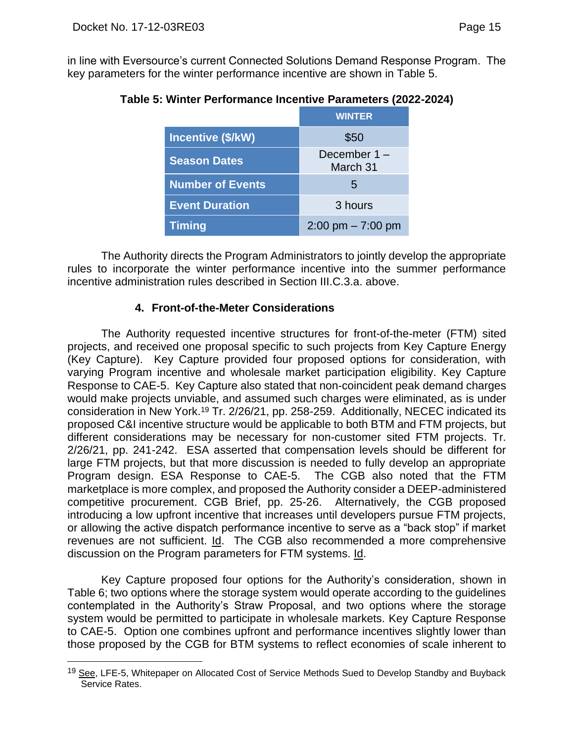in line with Eversource's current Connected Solutions Demand Response Program. The key parameters for the winter performance incentive are shown in Table 5.

|                         | <b>WINTER</b>                       |
|-------------------------|-------------------------------------|
| Incentive (\$/kW)       | \$50                                |
| <b>Season Dates</b>     | December $1 -$<br>March 31          |
| <b>Number of Events</b> | $\mathbf{b}$                        |
| <b>Event Duration</b>   | 3 hours                             |
| <b>Timing</b>           | $2:00 \text{ pm} - 7:00 \text{ pm}$ |

# **Table 5: Winter Performance Incentive Parameters (2022-2024)**

The Authority directs the Program Administrators to jointly develop the appropriate rules to incorporate the winter performance incentive into the summer performance incentive administration rules described in Section III.C.3.a. above.

#### **4. Front-of-the-Meter Considerations**

<span id="page-16-0"></span>The Authority requested incentive structures for front-of-the-meter (FTM) sited projects, and received one proposal specific to such projects from Key Capture Energy (Key Capture). Key Capture provided four proposed options for consideration, with varying Program incentive and wholesale market participation eligibility. Key Capture Response to CAE-5. Key Capture also stated that non-coincident peak demand charges would make projects unviable, and assumed such charges were eliminated, as is under consideration in New York. <sup>19</sup> Tr. 2/26/21, pp. 258-259. Additionally, NECEC indicated its proposed C&I incentive structure would be applicable to both BTM and FTM projects, but different considerations may be necessary for non-customer sited FTM projects. Tr. 2/26/21, pp. 241-242. ESA asserted that compensation levels should be different for large FTM projects, but that more discussion is needed to fully develop an appropriate Program design. ESA Response to CAE-5. The CGB also noted that the FTM marketplace is more complex, and proposed the Authority consider a DEEP-administered competitive procurement. CGB Brief, pp. 25-26. Alternatively, the CGB proposed introducing a low upfront incentive that increases until developers pursue FTM projects, or allowing the active dispatch performance incentive to serve as a "back stop" if market revenues are not sufficient. Id. The CGB also recommended a more comprehensive discussion on the Program parameters for FTM systems. Id.

Key Capture proposed four options for the Authority's consideration, shown in Table 6; two options where the storage system would operate according to the guidelines contemplated in the Authority's Straw Proposal, and two options where the storage system would be permitted to participate in wholesale markets. Key Capture Response to CAE-5. Option one combines upfront and performance incentives slightly lower than those proposed by the CGB for BTM systems to reflect economies of scale inherent to

<sup>&</sup>lt;sup>19</sup> See, LFE-5, Whitepaper on Allocated Cost of Service Methods Sued to Develop Standby and Buyback Service Rates.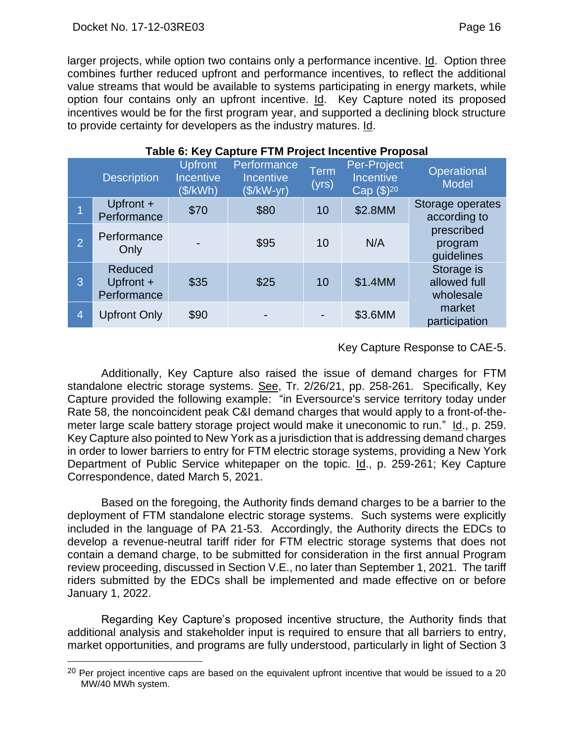#### Docket No. 17-12-03RE03 Page 16

larger projects, while option two contains only a performance incentive. Id. Option three combines further reduced upfront and performance incentives, to reflect the additional value streams that would be available to systems participating in energy markets, while option four contains only an upfront incentive. Id. Key Capture noted its proposed incentives would be for the first program year, and supported a declining block structure to provide certainty for developers as the industry matures. Id.

|                | Table 0. Rey Captule I This TOJect Incentive Floposal |                                                |                                                |                      |                                                           |                                         |
|----------------|-------------------------------------------------------|------------------------------------------------|------------------------------------------------|----------------------|-----------------------------------------------------------|-----------------------------------------|
|                | <b>Description</b>                                    | <b>Upfront</b><br><b>Incentive</b><br>(\$/kWh) | Performance<br><b>Incentive</b><br>$($/kW-yr)$ | <b>Term</b><br>(yrs) | Per-Project<br><b>Incentive</b><br>Cap (\$) <sup>20</sup> | Operational<br><b>Model</b>             |
|                | Upfront +<br>Performance                              | \$70                                           | \$80                                           | 10                   | \$2.8MM                                                   | Storage operates<br>according to        |
| $\overline{2}$ | Performance<br>Only                                   |                                                | \$95                                           | 10                   | N/A                                                       | prescribed<br>program<br>guidelines     |
| 3              | Reduced<br>Upfront +<br>Performance                   | \$35                                           | \$25                                           | 10                   | \$1.4MM                                                   | Storage is<br>allowed full<br>wholesale |
| $\overline{4}$ | <b>Upfront Only</b>                                   | \$90                                           |                                                | ٠                    | \$3.6MM                                                   | market<br>participation                 |

# **Table 6: Key Capture FTM Project Incentive Proposal**

# Key Capture Response to CAE-5.

Additionally, Key Capture also raised the issue of demand charges for FTM standalone electric storage systems. See, Tr. 2/26/21, pp. 258-261. Specifically, Key Capture provided the following example: "in Eversource's service territory today under Rate 58, the noncoincident peak C&I demand charges that would apply to a front-of-themeter large scale battery storage project would make it uneconomic to run." Id., p. 259. Key Capture also pointed to New York as a jurisdiction that is addressing demand charges in order to lower barriers to entry for FTM electric storage systems, providing a New York Department of Public Service whitepaper on the topic. Id., p. 259-261; Key Capture Correspondence, dated March 5, 2021.

Based on the foregoing, the Authority finds demand charges to be a barrier to the deployment of FTM standalone electric storage systems. Such systems were explicitly included in the language of PA 21-53. Accordingly, the Authority directs the EDCs to develop a revenue-neutral tariff rider for FTM electric storage systems that does not contain a demand charge, to be submitted for consideration in the first annual Program review proceeding, discussed in Section V.E., no later than September 1, 2021. The tariff riders submitted by the EDCs shall be implemented and made effective on or before January 1, 2022.

Regarding Key Capture's proposed incentive structure, the Authority finds that additional analysis and stakeholder input is required to ensure that all barriers to entry, market opportunities, and programs are fully understood, particularly in light of Section 3

 $20$  Per project incentive caps are based on the equivalent upfront incentive that would be issued to a 20 MW/40 MWh system.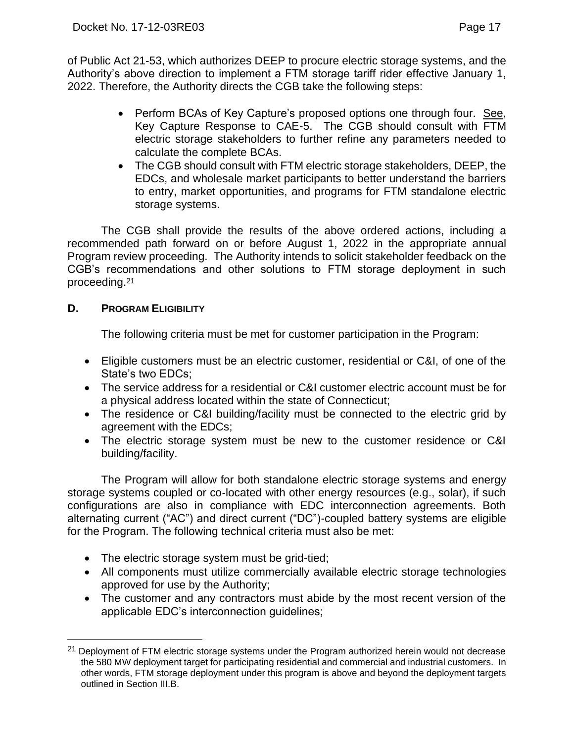of Public Act 21-53, which authorizes DEEP to procure electric storage systems, and the Authority's above direction to implement a FTM storage tariff rider effective January 1, 2022. Therefore, the Authority directs the CGB take the following steps:

- Perform BCAs of Key Capture's proposed options one through four. See, Key Capture Response to CAE-5. The CGB should consult with FTM electric storage stakeholders to further refine any parameters needed to calculate the complete BCAs.
- The CGB should consult with FTM electric storage stakeholders, DEEP, the EDCs, and wholesale market participants to better understand the barriers to entry, market opportunities, and programs for FTM standalone electric storage systems.

The CGB shall provide the results of the above ordered actions, including a recommended path forward on or before August 1, 2022 in the appropriate annual Program review proceeding. The Authority intends to solicit stakeholder feedback on the CGB's recommendations and other solutions to FTM storage deployment in such proceeding.<sup>21</sup>

# <span id="page-18-0"></span>**D. PROGRAM ELIGIBILITY**

The following criteria must be met for customer participation in the Program:

- Eligible customers must be an electric customer, residential or C&I, of one of the State's two EDCs;
- The service address for a residential or C&I customer electric account must be for a physical address located within the state of Connecticut;
- The residence or C&I building/facility must be connected to the electric grid by agreement with the EDCs;
- The electric storage system must be new to the customer residence or C&I building/facility.

The Program will allow for both standalone electric storage systems and energy storage systems coupled or co-located with other energy resources (e.g., solar), if such configurations are also in compliance with EDC interconnection agreements. Both alternating current ("AC") and direct current ("DC")-coupled battery systems are eligible for the Program. The following technical criteria must also be met:

- The electric storage system must be grid-tied;
- All components must utilize commercially available electric storage technologies approved for use by the Authority;
- The customer and any contractors must abide by the most recent version of the applicable EDC's interconnection guidelines;

<sup>&</sup>lt;sup>21</sup> Deployment of FTM electric storage systems under the Program authorized herein would not decrease the 580 MW deployment target for participating residential and commercial and industrial customers. In other words, FTM storage deployment under this program is above and beyond the deployment targets outlined in Section III.B.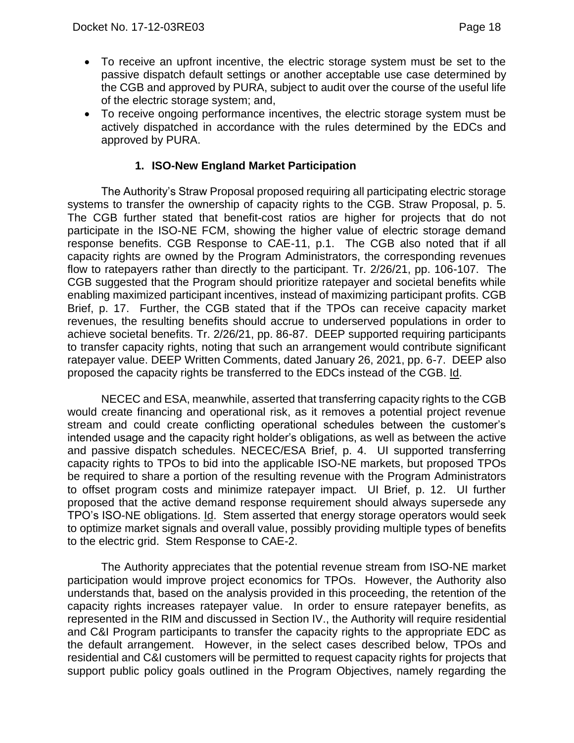- To receive an upfront incentive, the electric storage system must be set to the passive dispatch default settings or another acceptable use case determined by the CGB and approved by PURA, subject to audit over the course of the useful life of the electric storage system; and,
- To receive ongoing performance incentives, the electric storage system must be actively dispatched in accordance with the rules determined by the EDCs and approved by PURA.

### **1. ISO-New England Market Participation**

<span id="page-19-0"></span>The Authority's Straw Proposal proposed requiring all participating electric storage systems to transfer the ownership of capacity rights to the CGB. Straw Proposal, p. 5. The CGB further stated that benefit-cost ratios are higher for projects that do not participate in the ISO-NE FCM, showing the higher value of electric storage demand response benefits. CGB Response to CAE-11, p.1. The CGB also noted that if all capacity rights are owned by the Program Administrators, the corresponding revenues flow to ratepayers rather than directly to the participant. Tr. 2/26/21, pp. 106-107. The CGB suggested that the Program should prioritize ratepayer and societal benefits while enabling maximized participant incentives, instead of maximizing participant profits. CGB Brief, p. 17. Further, the CGB stated that if the TPOs can receive capacity market revenues, the resulting benefits should accrue to underserved populations in order to achieve societal benefits. Tr. 2/26/21, pp. 86-87. DEEP supported requiring participants to transfer capacity rights, noting that such an arrangement would contribute significant ratepayer value. DEEP Written Comments, dated January 26, 2021, pp. 6-7. DEEP also proposed the capacity rights be transferred to the EDCs instead of the CGB. Id.

NECEC and ESA, meanwhile, asserted that transferring capacity rights to the CGB would create financing and operational risk, as it removes a potential project revenue stream and could create conflicting operational schedules between the customer's intended usage and the capacity right holder's obligations, as well as between the active and passive dispatch schedules. NECEC/ESA Brief, p. 4. UI supported transferring capacity rights to TPOs to bid into the applicable ISO-NE markets, but proposed TPOs be required to share a portion of the resulting revenue with the Program Administrators to offset program costs and minimize ratepayer impact. UI Brief, p. 12. UI further proposed that the active demand response requirement should always supersede any TPO's ISO-NE obligations. Id. Stem asserted that energy storage operators would seek to optimize market signals and overall value, possibly providing multiple types of benefits to the electric grid. Stem Response to CAE-2.

The Authority appreciates that the potential revenue stream from ISO-NE market participation would improve project economics for TPOs. However, the Authority also understands that, based on the analysis provided in this proceeding, the retention of the capacity rights increases ratepayer value. In order to ensure ratepayer benefits, as represented in the RIM and discussed in Section IV., the Authority will require residential and C&I Program participants to transfer the capacity rights to the appropriate EDC as the default arrangement. However, in the select cases described below, TPOs and residential and C&I customers will be permitted to request capacity rights for projects that support public policy goals outlined in the Program Objectives, namely regarding the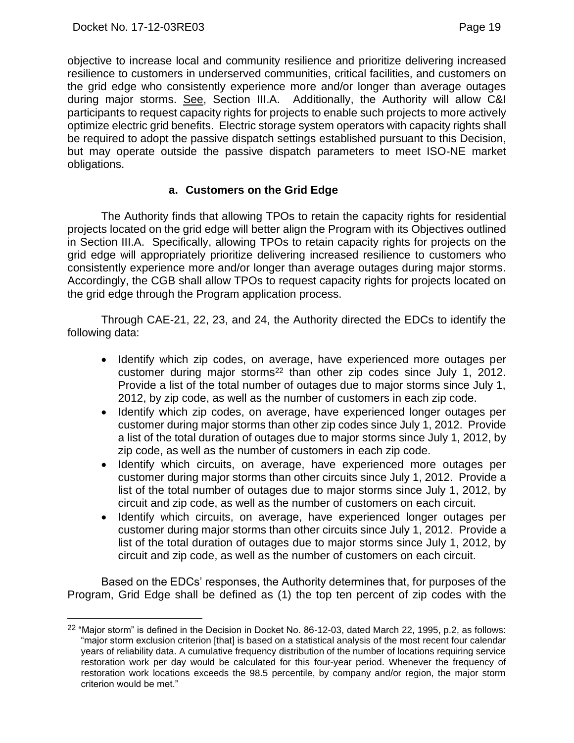objective to increase local and community resilience and prioritize delivering increased resilience to customers in underserved communities, critical facilities, and customers on the grid edge who consistently experience more and/or longer than average outages during major storms. See, Section III.A. Additionally, the Authority will allow C&I participants to request capacity rights for projects to enable such projects to more actively optimize electric grid benefits. Electric storage system operators with capacity rights shall be required to adopt the passive dispatch settings established pursuant to this Decision, but may operate outside the passive dispatch parameters to meet ISO-NE market obligations.

### **a. Customers on the Grid Edge**

The Authority finds that allowing TPOs to retain the capacity rights for residential projects located on the grid edge will better align the Program with its Objectives outlined in Section III.A. Specifically, allowing TPOs to retain capacity rights for projects on the grid edge will appropriately prioritize delivering increased resilience to customers who consistently experience more and/or longer than average outages during major storms. Accordingly, the CGB shall allow TPOs to request capacity rights for projects located on the grid edge through the Program application process.

Through CAE-21, 22, 23, and 24, the Authority directed the EDCs to identify the following data:

- Identify which zip codes, on average, have experienced more outages per customer during major storms<sup>22</sup> than other zip codes since July 1, 2012. Provide a list of the total number of outages due to major storms since July 1, 2012, by zip code, as well as the number of customers in each zip code.
- Identify which zip codes, on average, have experienced longer outages per customer during major storms than other zip codes since July 1, 2012. Provide a list of the total duration of outages due to major storms since July 1, 2012, by zip code, as well as the number of customers in each zip code.
- Identify which circuits, on average, have experienced more outages per customer during major storms than other circuits since July 1, 2012. Provide a list of the total number of outages due to major storms since July 1, 2012, by circuit and zip code, as well as the number of customers on each circuit.
- Identify which circuits, on average, have experienced longer outages per customer during major storms than other circuits since July 1, 2012. Provide a list of the total duration of outages due to major storms since July 1, 2012, by circuit and zip code, as well as the number of customers on each circuit.

Based on the EDCs' responses, the Authority determines that, for purposes of the Program, Grid Edge shall be defined as (1) the top ten percent of zip codes with the

<sup>&</sup>lt;sup>22</sup> "Major storm" is defined in the Decision in Docket No. 86-12-03, dated March 22, 1995, p.2, as follows: "major storm exclusion criterion [that] is based on a statistical analysis of the most recent four calendar years of reliability data. A cumulative frequency distribution of the number of locations requiring service restoration work per day would be calculated for this four-year period. Whenever the frequency of restoration work locations exceeds the 98.5 percentile, by company and/or region, the major storm criterion would be met."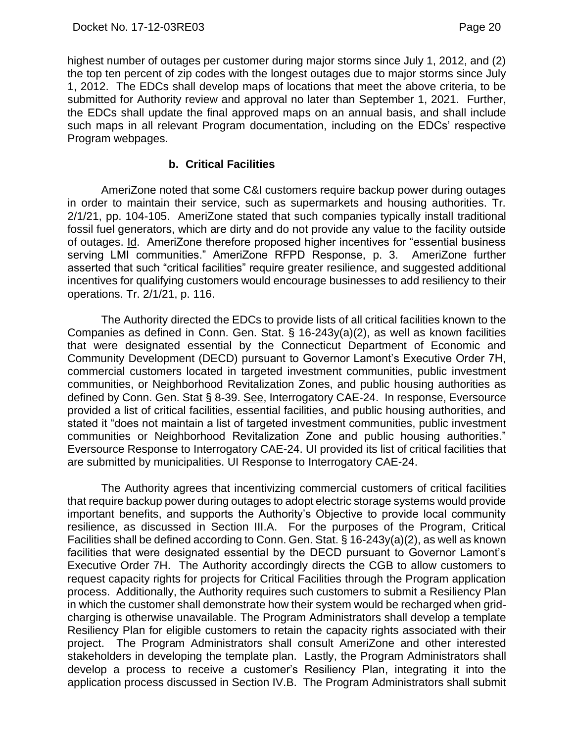highest number of outages per customer during major storms since July 1, 2012, and (2) the top ten percent of zip codes with the longest outages due to major storms since July 1, 2012. The EDCs shall develop maps of locations that meet the above criteria, to be submitted for Authority review and approval no later than September 1, 2021. Further, the EDCs shall update the final approved maps on an annual basis, and shall include such maps in all relevant Program documentation, including on the EDCs' respective Program webpages.

#### **b. Critical Facilities**

AmeriZone noted that some C&I customers require backup power during outages in order to maintain their service, such as supermarkets and housing authorities. Tr. 2/1/21, pp. 104-105. AmeriZone stated that such companies typically install traditional fossil fuel generators, which are dirty and do not provide any value to the facility outside of outages. Id. AmeriZone therefore proposed higher incentives for "essential business serving LMI communities." AmeriZone RFPD Response, p. 3. AmeriZone further asserted that such "critical facilities" require greater resilience, and suggested additional incentives for qualifying customers would encourage businesses to add resiliency to their operations. Tr. 2/1/21, p. 116.

The Authority directed the EDCs to provide lists of all critical facilities known to the Companies as defined in Conn. Gen. Stat. § 16-243y(a)(2), as well as known facilities that were designated essential by the Connecticut Department of Economic and Community Development (DECD) pursuant to Governor Lamont's Executive Order 7H, commercial customers located in targeted investment communities, public investment communities, or Neighborhood Revitalization Zones, and public housing authorities as defined by Conn. Gen. Stat § 8-39. See, Interrogatory CAE-24. In response, Eversource provided a list of critical facilities, essential facilities, and public housing authorities, and stated it "does not maintain a list of targeted investment communities, public investment communities or Neighborhood Revitalization Zone and public housing authorities." Eversource Response to Interrogatory CAE-24. UI provided its list of critical facilities that are submitted by municipalities. UI Response to Interrogatory CAE-24.

The Authority agrees that incentivizing commercial customers of critical facilities that require backup power during outages to adopt electric storage systems would provide important benefits, and supports the Authority's Objective to provide local community resilience, as discussed in Section III.A. For the purposes of the Program, Critical Facilities shall be defined according to Conn. Gen. Stat. § 16-243y(a)(2), as well as known facilities that were designated essential by the DECD pursuant to Governor Lamont's Executive Order 7H. The Authority accordingly directs the CGB to allow customers to request capacity rights for projects for Critical Facilities through the Program application process. Additionally, the Authority requires such customers to submit a Resiliency Plan in which the customer shall demonstrate how their system would be recharged when gridcharging is otherwise unavailable. The Program Administrators shall develop a template Resiliency Plan for eligible customers to retain the capacity rights associated with their project. The Program Administrators shall consult AmeriZone and other interested stakeholders in developing the template plan. Lastly, the Program Administrators shall develop a process to receive a customer's Resiliency Plan, integrating it into the application process discussed in Section IV.B. The Program Administrators shall submit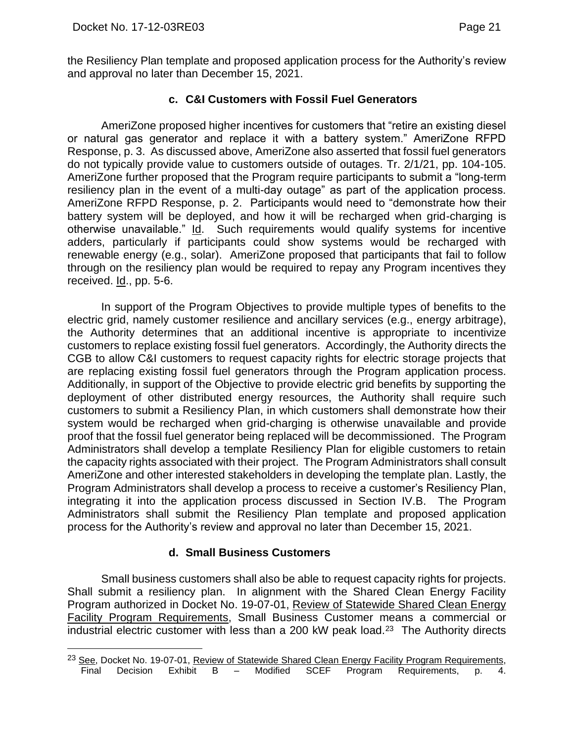the Resiliency Plan template and proposed application process for the Authority's review and approval no later than December 15, 2021.

# **c. C&I Customers with Fossil Fuel Generators**

AmeriZone proposed higher incentives for customers that "retire an existing diesel or natural gas generator and replace it with a battery system." AmeriZone RFPD Response, p. 3. As discussed above, AmeriZone also asserted that fossil fuel generators do not typically provide value to customers outside of outages. Tr. 2/1/21, pp. 104-105. AmeriZone further proposed that the Program require participants to submit a "long-term resiliency plan in the event of a multi-day outage" as part of the application process. AmeriZone RFPD Response, p. 2. Participants would need to "demonstrate how their battery system will be deployed, and how it will be recharged when grid-charging is otherwise unavailable." Id. Such requirements would qualify systems for incentive adders, particularly if participants could show systems would be recharged with renewable energy (e.g., solar). AmeriZone proposed that participants that fail to follow through on the resiliency plan would be required to repay any Program incentives they received. Id., pp. 5-6.

In support of the Program Objectives to provide multiple types of benefits to the electric grid, namely customer resilience and ancillary services (e.g., energy arbitrage), the Authority determines that an additional incentive is appropriate to incentivize customers to replace existing fossil fuel generators. Accordingly, the Authority directs the CGB to allow C&I customers to request capacity rights for electric storage projects that are replacing existing fossil fuel generators through the Program application process. Additionally, in support of the Objective to provide electric grid benefits by supporting the deployment of other distributed energy resources, the Authority shall require such customers to submit a Resiliency Plan, in which customers shall demonstrate how their system would be recharged when grid-charging is otherwise unavailable and provide proof that the fossil fuel generator being replaced will be decommissioned. The Program Administrators shall develop a template Resiliency Plan for eligible customers to retain the capacity rights associated with their project. The Program Administrators shall consult AmeriZone and other interested stakeholders in developing the template plan. Lastly, the Program Administrators shall develop a process to receive a customer's Resiliency Plan, integrating it into the application process discussed in Section IV.B. The Program Administrators shall submit the Resiliency Plan template and proposed application process for the Authority's review and approval no later than December 15, 2021.

# **d. Small Business Customers**

Small business customers shall also be able to request capacity rights for projects. Shall submit a resiliency plan. In alignment with the Shared Clean Energy Facility Program authorized in Docket No. 19-07-01, Review of Statewide Shared Clean Energy Facility Program Requirements, Small Business Customer means a commercial or industrial electric customer with less than a 200 kW peak load.23 The Authority directs

<sup>&</sup>lt;sup>23</sup> See, Docket No. 19-07-01, Review of Statewide Shared Clean Energy Facility Program Requirements, Final Decision Exhibit B – Modified SCEF Program Requirements, p. 4.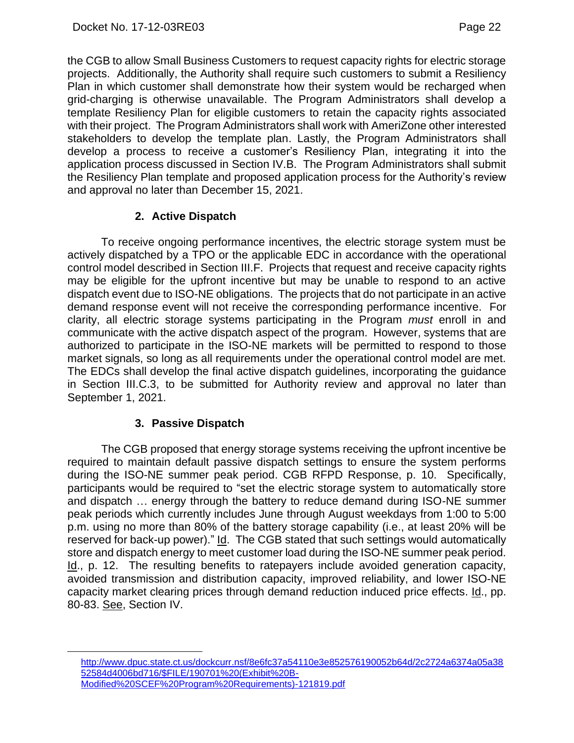the CGB to allow Small Business Customers to request capacity rights for electric storage projects. Additionally, the Authority shall require such customers to submit a Resiliency Plan in which customer shall demonstrate how their system would be recharged when grid-charging is otherwise unavailable. The Program Administrators shall develop a template Resiliency Plan for eligible customers to retain the capacity rights associated with their project. The Program Administrators shall work with AmeriZone other interested stakeholders to develop the template plan. Lastly, the Program Administrators shall develop a process to receive a customer's Resiliency Plan, integrating it into the application process discussed in Section IV.B. The Program Administrators shall submit the Resiliency Plan template and proposed application process for the Authority's review and approval no later than December 15, 2021.

# **2. Active Dispatch**

<span id="page-23-0"></span>To receive ongoing performance incentives, the electric storage system must be actively dispatched by a TPO or the applicable EDC in accordance with the operational control model described in Section III.F. Projects that request and receive capacity rights may be eligible for the upfront incentive but may be unable to respond to an active dispatch event due to ISO-NE obligations. The projects that do not participate in an active demand response event will not receive the corresponding performance incentive. For clarity, all electric storage systems participating in the Program *must* enroll in and communicate with the active dispatch aspect of the program. However, systems that are authorized to participate in the ISO-NE markets will be permitted to respond to those market signals, so long as all requirements under the operational control model are met. The EDCs shall develop the final active dispatch guidelines, incorporating the guidance in Section III.C.3, to be submitted for Authority review and approval no later than September 1, 2021.

# **3. Passive Dispatch**

<span id="page-23-1"></span>The CGB proposed that energy storage systems receiving the upfront incentive be required to maintain default passive dispatch settings to ensure the system performs during the ISO-NE summer peak period. CGB RFPD Response, p. 10. Specifically, participants would be required to "set the electric storage system to automatically store and dispatch … energy through the battery to reduce demand during ISO-NE summer peak periods which currently includes June through August weekdays from 1:00 to 5:00 p.m. using no more than 80% of the battery storage capability (i.e., at least 20% will be reserved for back-up power)." Id. The CGB stated that such settings would automatically store and dispatch energy to meet customer load during the ISO-NE summer peak period. Id., p. 12. The resulting benefits to ratepayers include avoided generation capacity, avoided transmission and distribution capacity, improved reliability, and lower ISO-NE capacity market clearing prices through demand reduction induced price effects. Id., pp. 80-83. See, Section IV.

[http://www.dpuc.state.ct.us/dockcurr.nsf/8e6fc37a54110e3e852576190052b64d/2c2724a6374a05a38](http://www.dpuc.state.ct.us/dockcurr.nsf/8e6fc37a54110e3e852576190052b64d/2c2724a6374a05a3852584d4006bd716/$FILE/190701%20(Exhibit%20B-Modified%20SCEF%20Program%20Requirements)-121819.pdf) [52584d4006bd716/\\$FILE/190701%20\(Exhibit%20B-](http://www.dpuc.state.ct.us/dockcurr.nsf/8e6fc37a54110e3e852576190052b64d/2c2724a6374a05a3852584d4006bd716/$FILE/190701%20(Exhibit%20B-Modified%20SCEF%20Program%20Requirements)-121819.pdf)[Modified%20SCEF%20Program%20Requirements\)-121819.pdf](http://www.dpuc.state.ct.us/dockcurr.nsf/8e6fc37a54110e3e852576190052b64d/2c2724a6374a05a3852584d4006bd716/$FILE/190701%20(Exhibit%20B-Modified%20SCEF%20Program%20Requirements)-121819.pdf)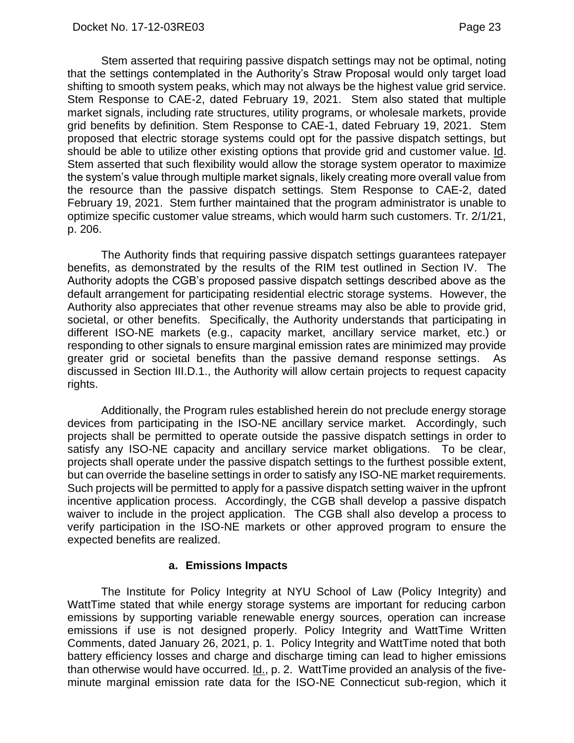Stem asserted that requiring passive dispatch settings may not be optimal, noting that the settings contemplated in the Authority's Straw Proposal would only target load shifting to smooth system peaks, which may not always be the highest value grid service. Stem Response to CAE-2, dated February 19, 2021. Stem also stated that multiple market signals, including rate structures, utility programs, or wholesale markets, provide grid benefits by definition. Stem Response to CAE-1, dated February 19, 2021. Stem proposed that electric storage systems could opt for the passive dispatch settings, but should be able to utilize other existing options that provide grid and customer value. Id. Stem asserted that such flexibility would allow the storage system operator to maximize the system's value through multiple market signals, likely creating more overall value from the resource than the passive dispatch settings. Stem Response to CAE-2, dated February 19, 2021. Stem further maintained that the program administrator is unable to optimize specific customer value streams, which would harm such customers. Tr. 2/1/21, p. 206.

The Authority finds that requiring passive dispatch settings guarantees ratepayer benefits, as demonstrated by the results of the RIM test outlined in Section IV. The Authority adopts the CGB's proposed passive dispatch settings described above as the default arrangement for participating residential electric storage systems. However, the Authority also appreciates that other revenue streams may also be able to provide grid, societal, or other benefits. Specifically, the Authority understands that participating in different ISO-NE markets (e.g., capacity market, ancillary service market, etc.) or responding to other signals to ensure marginal emission rates are minimized may provide greater grid or societal benefits than the passive demand response settings. As discussed in Section III.D.1., the Authority will allow certain projects to request capacity rights.

Additionally, the Program rules established herein do not preclude energy storage devices from participating in the ISO-NE ancillary service market. Accordingly, such projects shall be permitted to operate outside the passive dispatch settings in order to satisfy any ISO-NE capacity and ancillary service market obligations. To be clear, projects shall operate under the passive dispatch settings to the furthest possible extent, but can override the baseline settings in order to satisfy any ISO-NE market requirements. Such projects will be permitted to apply for a passive dispatch setting waiver in the upfront incentive application process. Accordingly, the CGB shall develop a passive dispatch waiver to include in the project application. The CGB shall also develop a process to verify participation in the ISO-NE markets or other approved program to ensure the expected benefits are realized.

#### **a. Emissions Impacts**

The Institute for Policy Integrity at NYU School of Law (Policy Integrity) and WattTime stated that while energy storage systems are important for reducing carbon emissions by supporting variable renewable energy sources, operation can increase emissions if use is not designed properly. Policy Integrity and WattTime Written Comments, dated January 26, 2021, p. 1. Policy Integrity and WattTime noted that both battery efficiency losses and charge and discharge timing can lead to higher emissions than otherwise would have occurred. Id., p. 2. WattTime provided an analysis of the fiveminute marginal emission rate data for the ISO-NE Connecticut sub-region, which it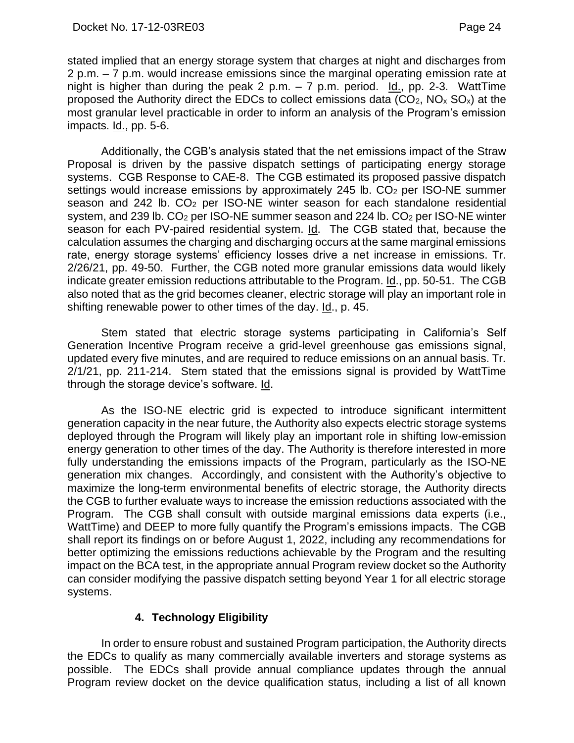stated implied that an energy storage system that charges at night and discharges from 2 p.m. – 7 p.m. would increase emissions since the marginal operating emission rate at night is higher than during the peak 2 p.m.  $-7$  p.m. period. <u>Id.,</u> pp. 2-3. WattTime proposed the Authority direct the EDCs to collect emissions data  $(CO_2, NO_x SO_x)$  at the most granular level practicable in order to inform an analysis of the Program's emission impacts. Id., pp. 5-6.

Additionally, the CGB's analysis stated that the net emissions impact of the Straw Proposal is driven by the passive dispatch settings of participating energy storage systems. CGB Response to CAE-8. The CGB estimated its proposed passive dispatch settings would increase emissions by approximately 245 lb.  $CO<sub>2</sub>$  per ISO-NE summer season and 242 lb. CO<sup>2</sup> per ISO-NE winter season for each standalone residential system, and 239 lb. CO<sub>2</sub> per ISO-NE summer season and 224 lb. CO<sub>2</sub> per ISO-NE winter season for each PV-paired residential system. Id. The CGB stated that, because the calculation assumes the charging and discharging occurs at the same marginal emissions rate, energy storage systems' efficiency losses drive a net increase in emissions. Tr. 2/26/21, pp. 49-50. Further, the CGB noted more granular emissions data would likely indicate greater emission reductions attributable to the Program. Id., pp. 50-51. The CGB also noted that as the grid becomes cleaner, electric storage will play an important role in shifting renewable power to other times of the day. Id., p. 45.

Stem stated that electric storage systems participating in California's Self Generation Incentive Program receive a grid-level greenhouse gas emissions signal, updated every five minutes, and are required to reduce emissions on an annual basis. Tr. 2/1/21, pp. 211-214. Stem stated that the emissions signal is provided by WattTime through the storage device's software. Id.

As the ISO-NE electric grid is expected to introduce significant intermittent generation capacity in the near future, the Authority also expects electric storage systems deployed through the Program will likely play an important role in shifting low-emission energy generation to other times of the day. The Authority is therefore interested in more fully understanding the emissions impacts of the Program, particularly as the ISO-NE generation mix changes. Accordingly, and consistent with the Authority's objective to maximize the long-term environmental benefits of electric storage, the Authority directs the CGB to further evaluate ways to increase the emission reductions associated with the Program. The CGB shall consult with outside marginal emissions data experts (i.e., WattTime) and DEEP to more fully quantify the Program's emissions impacts. The CGB shall report its findings on or before August 1, 2022, including any recommendations for better optimizing the emissions reductions achievable by the Program and the resulting impact on the BCA test, in the appropriate annual Program review docket so the Authority can consider modifying the passive dispatch setting beyond Year 1 for all electric storage systems.

# **4. Technology Eligibility**

<span id="page-25-0"></span>In order to ensure robust and sustained Program participation, the Authority directs the EDCs to qualify as many commercially available inverters and storage systems as possible. The EDCs shall provide annual compliance updates through the annual Program review docket on the device qualification status, including a list of all known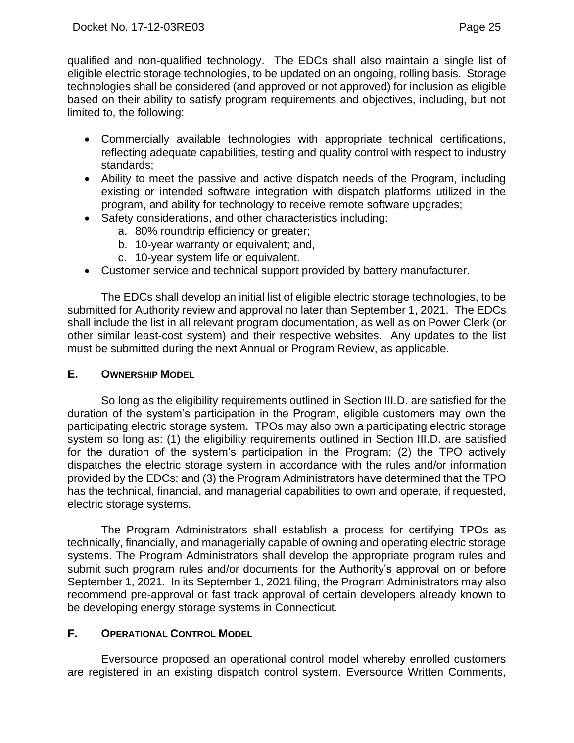qualified and non-qualified technology. The EDCs shall also maintain a single list of eligible electric storage technologies, to be updated on an ongoing, rolling basis. Storage technologies shall be considered (and approved or not approved) for inclusion as eligible based on their ability to satisfy program requirements and objectives, including, but not limited to, the following:

- Commercially available technologies with appropriate technical certifications, reflecting adequate capabilities, testing and quality control with respect to industry standards;
- Ability to meet the passive and active dispatch needs of the Program, including existing or intended software integration with dispatch platforms utilized in the program, and ability for technology to receive remote software upgrades;
- Safety considerations, and other characteristics including:
	- a. 80% roundtrip efficiency or greater;
	- b. 10-year warranty or equivalent; and,
	- c. 10-year system life or equivalent.
- Customer service and technical support provided by battery manufacturer.

The EDCs shall develop an initial list of eligible electric storage technologies, to be submitted for Authority review and approval no later than September 1, 2021. The EDCs shall include the list in all relevant program documentation, as well as on Power Clerk (or other similar least-cost system) and their respective websites. Any updates to the list must be submitted during the next Annual or Program Review, as applicable.

### <span id="page-26-0"></span>**E. OWNERSHIP MODEL**

So long as the eligibility requirements outlined in Section III.D. are satisfied for the duration of the system's participation in the Program, eligible customers may own the participating electric storage system. TPOs may also own a participating electric storage system so long as: (1) the eligibility requirements outlined in Section III.D. are satisfied for the duration of the system's participation in the Program; (2) the TPO actively dispatches the electric storage system in accordance with the rules and/or information provided by the EDCs; and (3) the Program Administrators have determined that the TPO has the technical, financial, and managerial capabilities to own and operate, if requested, electric storage systems.

The Program Administrators shall establish a process for certifying TPOs as technically, financially, and managerially capable of owning and operating electric storage systems. The Program Administrators shall develop the appropriate program rules and submit such program rules and/or documents for the Authority's approval on or before September 1, 2021. In its September 1, 2021 filing, the Program Administrators may also recommend pre-approval or fast track approval of certain developers already known to be developing energy storage systems in Connecticut.

# <span id="page-26-1"></span>**F. OPERATIONAL CONTROL MODEL**

Eversource proposed an operational control model whereby enrolled customers are registered in an existing dispatch control system. Eversource Written Comments,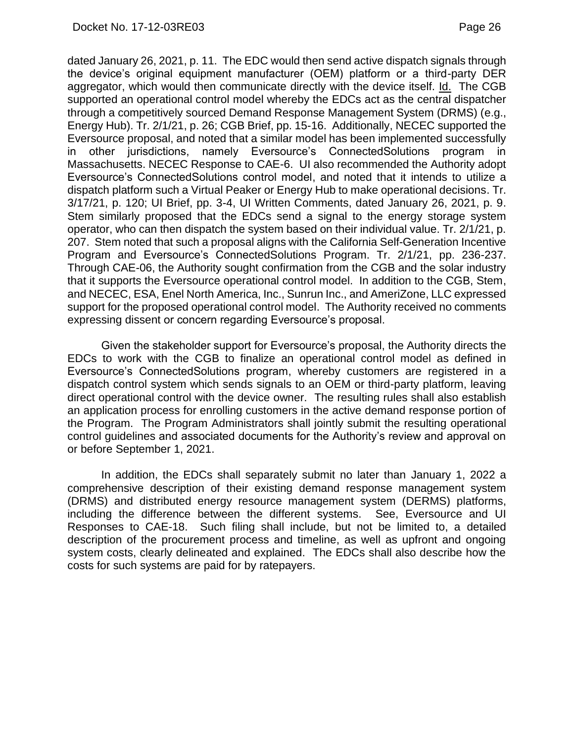dated January 26, 2021, p. 11. The EDC would then send active dispatch signals through the device's original equipment manufacturer (OEM) platform or a third-party DER aggregator, which would then communicate directly with the device itself. Id. The CGB supported an operational control model whereby the EDCs act as the central dispatcher through a competitively sourced Demand Response Management System (DRMS) (e.g., Energy Hub). Tr. 2/1/21, p. 26; CGB Brief, pp. 15-16. Additionally, NECEC supported the Eversource proposal, and noted that a similar model has been implemented successfully in other jurisdictions, namely Eversource's ConnectedSolutions program in Massachusetts. NECEC Response to CAE-6. UI also recommended the Authority adopt Eversource's ConnectedSolutions control model, and noted that it intends to utilize a dispatch platform such a Virtual Peaker or Energy Hub to make operational decisions. Tr. 3/17/21, p. 120; UI Brief, pp. 3-4, UI Written Comments, dated January 26, 2021, p. 9. Stem similarly proposed that the EDCs send a signal to the energy storage system operator, who can then dispatch the system based on their individual value. Tr. 2/1/21, p. 207. Stem noted that such a proposal aligns with the California Self-Generation Incentive Program and Eversource's ConnectedSolutions Program. Tr. 2/1/21, pp. 236-237. Through CAE-06, the Authority sought confirmation from the CGB and the solar industry that it supports the Eversource operational control model. In addition to the CGB, Stem, and NECEC, ESA, Enel North America, Inc., Sunrun Inc., and AmeriZone, LLC expressed support for the proposed operational control model. The Authority received no comments expressing dissent or concern regarding Eversource's proposal.

Given the stakeholder support for Eversource's proposal, the Authority directs the EDCs to work with the CGB to finalize an operational control model as defined in Eversource's ConnectedSolutions program, whereby customers are registered in a dispatch control system which sends signals to an OEM or third-party platform, leaving direct operational control with the device owner. The resulting rules shall also establish an application process for enrolling customers in the active demand response portion of the Program. The Program Administrators shall jointly submit the resulting operational control guidelines and associated documents for the Authority's review and approval on or before September 1, 2021.

In addition, the EDCs shall separately submit no later than January 1, 2022 a comprehensive description of their existing demand response management system (DRMS) and distributed energy resource management system (DERMS) platforms, including the difference between the different systems. See, Eversource and UI Responses to CAE-18. Such filing shall include, but not be limited to, a detailed description of the procurement process and timeline, as well as upfront and ongoing system costs, clearly delineated and explained. The EDCs shall also describe how the costs for such systems are paid for by ratepayers.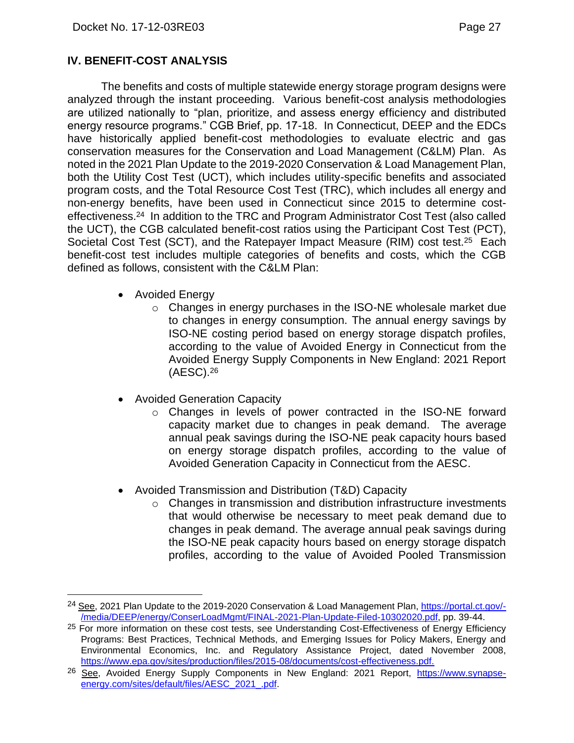### <span id="page-28-0"></span>**IV. BENEFIT-COST ANALYSIS**

The benefits and costs of multiple statewide energy storage program designs were analyzed through the instant proceeding. Various benefit-cost analysis methodologies are utilized nationally to "plan, prioritize, and assess energy efficiency and distributed energy resource programs." CGB Brief, pp. 17-18. In Connecticut, DEEP and the EDCs have historically applied benefit-cost methodologies to evaluate electric and gas conservation measures for the Conservation and Load Management (C&LM) Plan. As noted in the 2021 Plan Update to the 2019-2020 Conservation & Load Management Plan, both the Utility Cost Test (UCT), which includes utility-specific benefits and associated program costs, and the Total Resource Cost Test (TRC), which includes all energy and non-energy benefits, have been used in Connecticut since 2015 to determine costeffectiveness.24 In addition to the TRC and Program Administrator Cost Test (also called the UCT), the CGB calculated benefit-cost ratios using the Participant Cost Test (PCT), Societal Cost Test (SCT), and the Ratepayer Impact Measure (RIM) cost test.25 Each benefit-cost test includes multiple categories of benefits and costs, which the CGB defined as follows, consistent with the C&LM Plan:

- Avoided Energy
	- $\circ$  Changes in energy purchases in the ISO-NE wholesale market due to changes in energy consumption. The annual energy savings by ISO-NE costing period based on energy storage dispatch profiles, according to the value of Avoided Energy in Connecticut from the Avoided Energy Supply Components in New England: 2021 Report (AESC).<sup>26</sup>
- Avoided Generation Capacity
	- o Changes in levels of power contracted in the ISO-NE forward capacity market due to changes in peak demand. The average annual peak savings during the ISO-NE peak capacity hours based on energy storage dispatch profiles, according to the value of Avoided Generation Capacity in Connecticut from the AESC.
- Avoided Transmission and Distribution (T&D) Capacity
	- $\circ$  Changes in transmission and distribution infrastructure investments that would otherwise be necessary to meet peak demand due to changes in peak demand. The average annual peak savings during the ISO-NE peak capacity hours based on energy storage dispatch profiles, according to the value of Avoided Pooled Transmission

<sup>&</sup>lt;sup>24</sup> See, 2021 Plan Update to the 2019-2020 Conservation & Load Management Plan, [https://portal.ct.gov/-](https://portal.ct.gov/-/media/DEEP/energy/ConserLoadMgmt/FINAL-2021-Plan-Update-Filed-10302020.pdf) [/media/DEEP/energy/ConserLoadMgmt/FINAL-2021-Plan-Update-Filed-10302020.pdf,](https://portal.ct.gov/-/media/DEEP/energy/ConserLoadMgmt/FINAL-2021-Plan-Update-Filed-10302020.pdf) pp. 39-44.

<sup>&</sup>lt;sup>25</sup> For more information on these cost tests, see Understanding Cost-Effectiveness of Energy Efficiency Programs: Best Practices, Technical Methods, and Emerging Issues for Policy Makers, Energy and Environmental Economics, Inc. and Regulatory Assistance Project, dated November 2008, <https://www.epa.gov/sites/production/files/2015-08/documents/cost-effectiveness.pdf.>

<sup>26</sup> See, Avoided Energy Supply Components in New England: 2021 Report, https://www.synapseenergy.com/sites/default/files/AESC\_2021\_.pdf.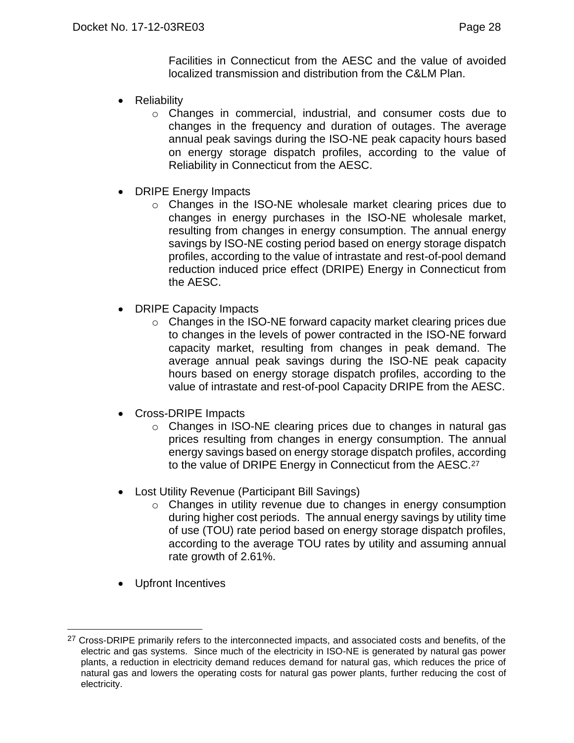Facilities in Connecticut from the AESC and the value of avoided localized transmission and distribution from the C&LM Plan.

- **Reliability** 
	- o Changes in commercial, industrial, and consumer costs due to changes in the frequency and duration of outages. The average annual peak savings during the ISO-NE peak capacity hours based on energy storage dispatch profiles, according to the value of Reliability in Connecticut from the AESC.
- DRIPE Energy Impacts
	- o Changes in the ISO-NE wholesale market clearing prices due to changes in energy purchases in the ISO-NE wholesale market, resulting from changes in energy consumption. The annual energy savings by ISO-NE costing period based on energy storage dispatch profiles, according to the value of intrastate and rest-of-pool demand reduction induced price effect (DRIPE) Energy in Connecticut from the AESC.
- **DRIPE Capacity Impacts** 
	- o Changes in the ISO-NE forward capacity market clearing prices due to changes in the levels of power contracted in the ISO-NE forward capacity market, resulting from changes in peak demand. The average annual peak savings during the ISO-NE peak capacity hours based on energy storage dispatch profiles, according to the value of intrastate and rest-of-pool Capacity DRIPE from the AESC.
- Cross-DRIPE Impacts
	- o Changes in ISO-NE clearing prices due to changes in natural gas prices resulting from changes in energy consumption. The annual energy savings based on energy storage dispatch profiles, according to the value of DRIPE Energy in Connecticut from the AESC.<sup>27</sup>
- Lost Utility Revenue (Participant Bill Savings)
	- o Changes in utility revenue due to changes in energy consumption during higher cost periods. The annual energy savings by utility time of use (TOU) rate period based on energy storage dispatch profiles, according to the average TOU rates by utility and assuming annual rate growth of 2.61%.
- Upfront Incentives

<sup>&</sup>lt;sup>27</sup> Cross-DRIPE primarily refers to the interconnected impacts, and associated costs and benefits, of the electric and gas systems. Since much of the electricity in ISO-NE is generated by natural gas power plants, a reduction in electricity demand reduces demand for natural gas, which reduces the price of natural gas and lowers the operating costs for natural gas power plants, further reducing the cost of electricity.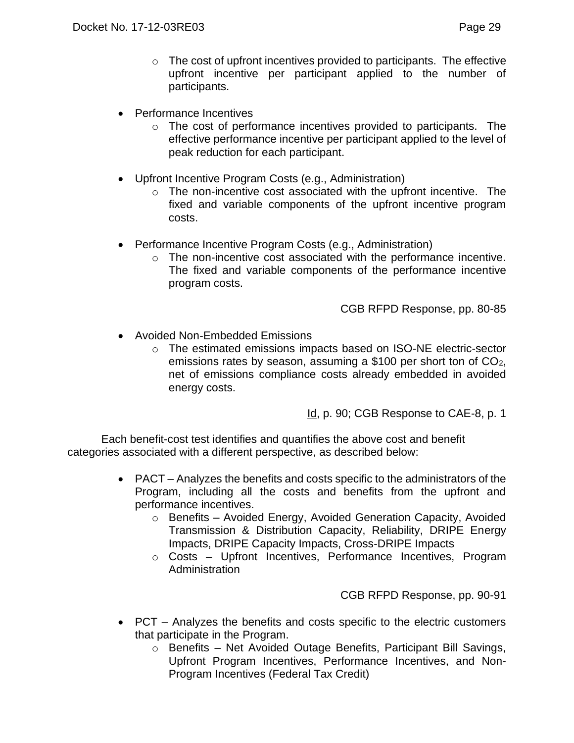- Performance Incentives
	- o The cost of performance incentives provided to participants. The effective performance incentive per participant applied to the level of peak reduction for each participant.
- Upfront Incentive Program Costs (e.g., Administration)
	- o The non-incentive cost associated with the upfront incentive. The fixed and variable components of the upfront incentive program costs.
- Performance Incentive Program Costs (e.g., Administration)
	- o The non-incentive cost associated with the performance incentive. The fixed and variable components of the performance incentive program costs.

CGB RFPD Response, pp. 80-85

- Avoided Non-Embedded Emissions
	- o The estimated emissions impacts based on ISO-NE electric-sector emissions rates by season, assuming a \$100 per short ton of CO2, net of emissions compliance costs already embedded in avoided energy costs.

Id, p. 90; CGB Response to CAE-8, p. 1

Each benefit-cost test identifies and quantifies the above cost and benefit categories associated with a different perspective, as described below:

- PACT Analyzes the benefits and costs specific to the administrators of the Program, including all the costs and benefits from the upfront and performance incentives.
	- o Benefits Avoided Energy, Avoided Generation Capacity, Avoided Transmission & Distribution Capacity, Reliability, DRIPE Energy Impacts, DRIPE Capacity Impacts, Cross-DRIPE Impacts
	- o Costs Upfront Incentives, Performance Incentives, Program Administration

CGB RFPD Response, pp. 90-91

- PCT Analyzes the benefits and costs specific to the electric customers that participate in the Program.
	- o Benefits Net Avoided Outage Benefits, Participant Bill Savings, Upfront Program Incentives, Performance Incentives, and Non-Program Incentives (Federal Tax Credit)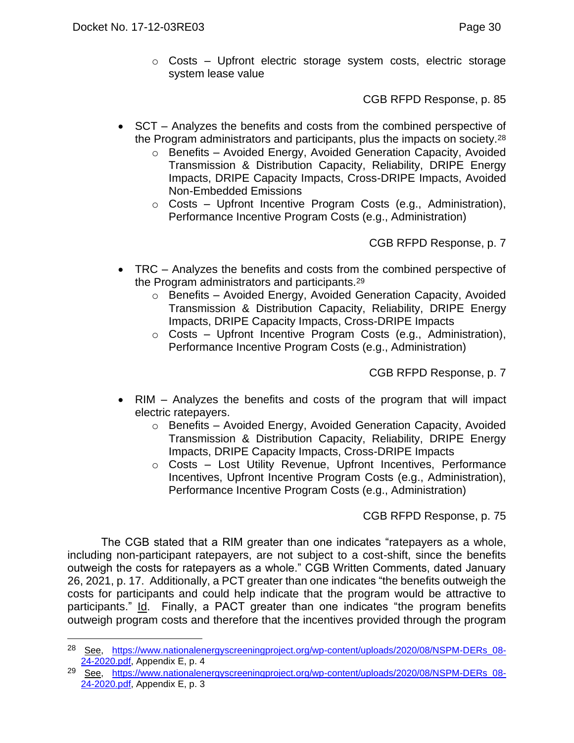o Costs – Upfront electric storage system costs, electric storage system lease value

CGB RFPD Response, p. 85

- SCT Analyzes the benefits and costs from the combined perspective of the Program administrators and participants, plus the impacts on society.<sup>28</sup>
	- o Benefits Avoided Energy, Avoided Generation Capacity, Avoided Transmission & Distribution Capacity, Reliability, DRIPE Energy Impacts, DRIPE Capacity Impacts, Cross-DRIPE Impacts, Avoided Non-Embedded Emissions
	- o Costs Upfront Incentive Program Costs (e.g., Administration), Performance Incentive Program Costs (e.g., Administration)

CGB RFPD Response, p. 7

- TRC Analyzes the benefits and costs from the combined perspective of the Program administrators and participants.<sup>29</sup>
	- o Benefits Avoided Energy, Avoided Generation Capacity, Avoided Transmission & Distribution Capacity, Reliability, DRIPE Energy Impacts, DRIPE Capacity Impacts, Cross-DRIPE Impacts
	- o Costs Upfront Incentive Program Costs (e.g., Administration), Performance Incentive Program Costs (e.g., Administration)

CGB RFPD Response, p. 7

- RIM Analyzes the benefits and costs of the program that will impact electric ratepayers.
	- o Benefits Avoided Energy, Avoided Generation Capacity, Avoided Transmission & Distribution Capacity, Reliability, DRIPE Energy Impacts, DRIPE Capacity Impacts, Cross-DRIPE Impacts
	- o Costs Lost Utility Revenue, Upfront Incentives, Performance Incentives, Upfront Incentive Program Costs (e.g., Administration), Performance Incentive Program Costs (e.g., Administration)

CGB RFPD Response, p. 75

The CGB stated that a RIM greater than one indicates "ratepayers as a whole, including non-participant ratepayers, are not subject to a cost-shift, since the benefits outweigh the costs for ratepayers as a whole." CGB Written Comments, dated January 26, 2021, p. 17. Additionally, a PCT greater than one indicates "the benefits outweigh the costs for participants and could help indicate that the program would be attractive to participants." Id. Finally, a PACT greater than one indicates "the program benefits outweigh program costs and therefore that the incentives provided through the program

<sup>28</sup> See, [https://www.nationalenergyscreeningproject.org/wp-content/uploads/2020/08/NSPM-DERs\\_08-](https://www.nationalenergyscreeningproject.org/wp-content/uploads/2020/08/NSPM-DERs_08-24-2020.pdf) [24-2020.pdf,](https://www.nationalenergyscreeningproject.org/wp-content/uploads/2020/08/NSPM-DERs_08-24-2020.pdf) Appendix E, p. 4

<sup>&</sup>lt;sup>29</sup> See, [https://www.nationalenergyscreeningproject.org/wp-content/uploads/2020/08/NSPM-DERs\\_08-](https://www.nationalenergyscreeningproject.org/wp-content/uploads/2020/08/NSPM-DERs_08-24-2020.pdf) [24-2020.pdf,](https://www.nationalenergyscreeningproject.org/wp-content/uploads/2020/08/NSPM-DERs_08-24-2020.pdf) Appendix E, p. 3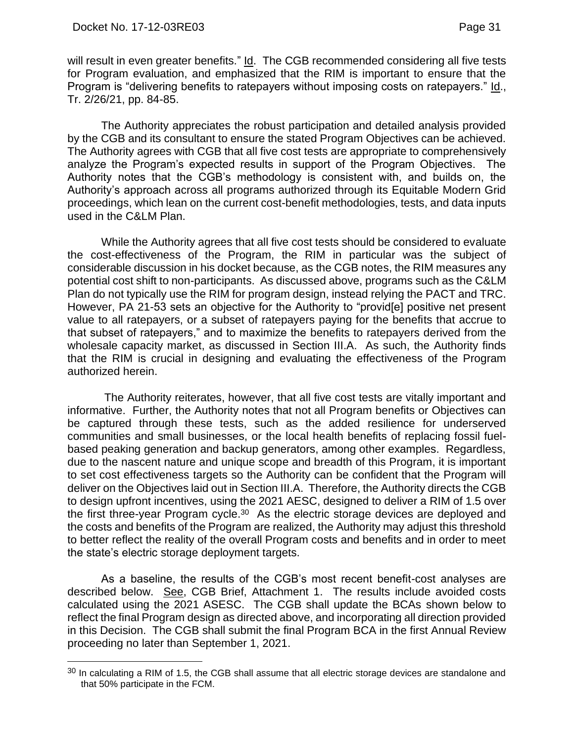will result in even greater benefits." Id. The CGB recommended considering all five tests for Program evaluation, and emphasized that the RIM is important to ensure that the Program is "delivering benefits to ratepayers without imposing costs on ratepayers." Id., Tr. 2/26/21, pp. 84-85.

The Authority appreciates the robust participation and detailed analysis provided by the CGB and its consultant to ensure the stated Program Objectives can be achieved. The Authority agrees with CGB that all five cost tests are appropriate to comprehensively analyze the Program's expected results in support of the Program Objectives. The Authority notes that the CGB's methodology is consistent with, and builds on, the Authority's approach across all programs authorized through its Equitable Modern Grid proceedings, which lean on the current cost-benefit methodologies, tests, and data inputs used in the C&LM Plan.

While the Authority agrees that all five cost tests should be considered to evaluate the cost-effectiveness of the Program, the RIM in particular was the subject of considerable discussion in his docket because, as the CGB notes, the RIM measures any potential cost shift to non-participants. As discussed above, programs such as the C&LM Plan do not typically use the RIM for program design, instead relying the PACT and TRC. However, PA 21-53 sets an objective for the Authority to "provid[e] positive net present value to all ratepayers, or a subset of ratepayers paying for the benefits that accrue to that subset of ratepayers," and to maximize the benefits to ratepayers derived from the wholesale capacity market, as discussed in Section III.A. As such, the Authority finds that the RIM is crucial in designing and evaluating the effectiveness of the Program authorized herein.

The Authority reiterates, however, that all five cost tests are vitally important and informative. Further, the Authority notes that not all Program benefits or Objectives can be captured through these tests, such as the added resilience for underserved communities and small businesses, or the local health benefits of replacing fossil fuelbased peaking generation and backup generators, among other examples. Regardless, due to the nascent nature and unique scope and breadth of this Program, it is important to set cost effectiveness targets so the Authority can be confident that the Program will deliver on the Objectives laid out in Section III.A. Therefore, the Authority directs the CGB to design upfront incentives, using the 2021 AESC, designed to deliver a RIM of 1.5 over the first three-year Program cycle.<sup>30</sup> As the electric storage devices are deployed and the costs and benefits of the Program are realized, the Authority may adjust this threshold to better reflect the reality of the overall Program costs and benefits and in order to meet the state's electric storage deployment targets.

As a baseline, the results of the CGB's most recent benefit-cost analyses are described below. See, CGB Brief, Attachment 1. The results include avoided costs calculated using the 2021 ASESC. The CGB shall update the BCAs shown below to reflect the final Program design as directed above, and incorporating all direction provided in this Decision. The CGB shall submit the final Program BCA in the first Annual Review proceeding no later than September 1, 2021.

 $30$  In calculating a RIM of 1.5, the CGB shall assume that all electric storage devices are standalone and that 50% participate in the FCM.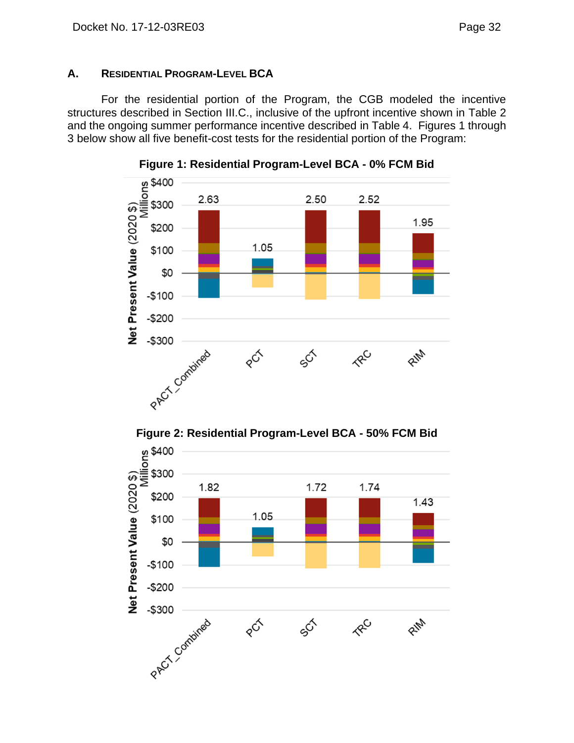### <span id="page-33-0"></span>**A. RESIDENTIAL PROGRAM-LEVEL BCA**

For the residential portion of the Program, the CGB modeled the incentive structures described in Section III.C., inclusive of the upfront incentive shown in Table 2 and the ongoing summer performance incentive described in Table 4. Figures 1 through 3 below show all five benefit-cost tests for the residential portion of the Program:





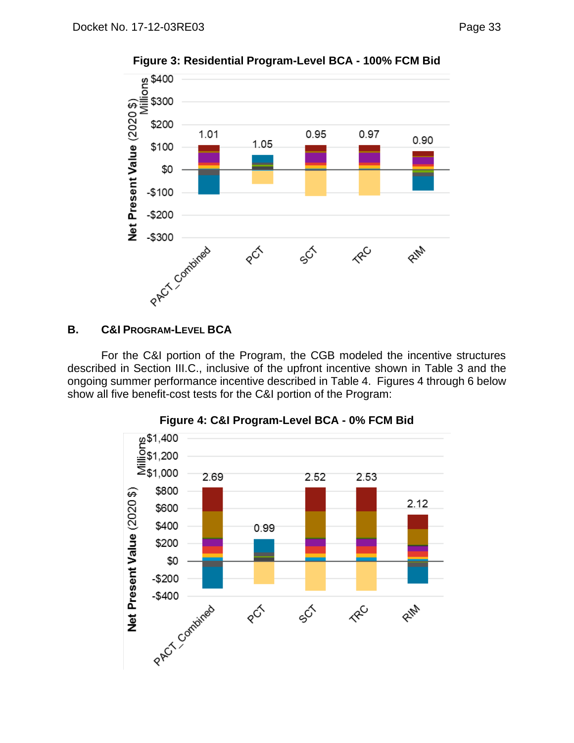

# <span id="page-34-0"></span>**B. C&I PROGRAM-LEVEL BCA**

For the C&I portion of the Program, the CGB modeled the incentive structures described in Section III.C., inclusive of the upfront incentive shown in Table 3 and the ongoing summer performance incentive described in Table 4. Figures 4 through 6 below show all five benefit-cost tests for the C&I portion of the Program:



#### **Figure 4: C&I Program-Level BCA - 0% FCM Bid**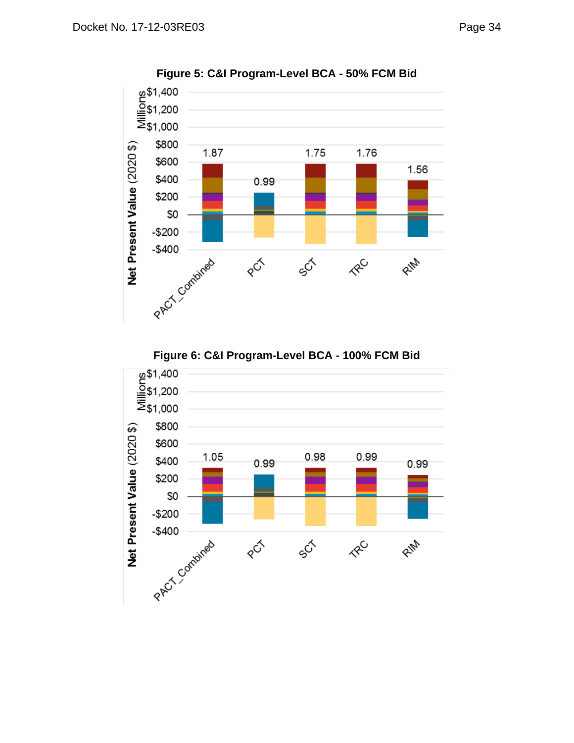

**Figure 5: C&I Program-Level BCA - 50% FCM Bid**



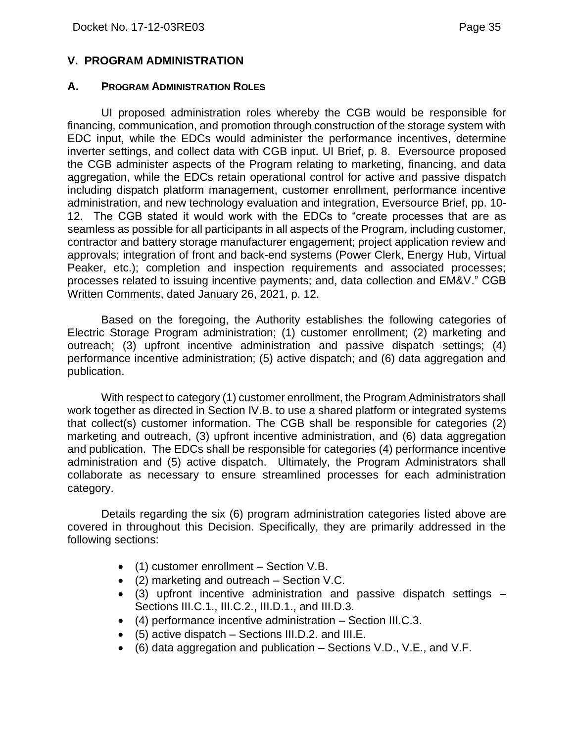#### <span id="page-36-0"></span>**V. PROGRAM ADMINISTRATION**

#### <span id="page-36-1"></span>**A. PROGRAM ADMINISTRATION ROLES**

UI proposed administration roles whereby the CGB would be responsible for financing, communication, and promotion through construction of the storage system with EDC input, while the EDCs would administer the performance incentives, determine inverter settings, and collect data with CGB input. UI Brief, p. 8. Eversource proposed the CGB administer aspects of the Program relating to marketing, financing, and data aggregation, while the EDCs retain operational control for active and passive dispatch including dispatch platform management, customer enrollment, performance incentive administration, and new technology evaluation and integration, Eversource Brief, pp. 10- 12. The CGB stated it would work with the EDCs to "create processes that are as seamless as possible for all participants in all aspects of the Program, including customer, contractor and battery storage manufacturer engagement; project application review and approvals; integration of front and back-end systems (Power Clerk, Energy Hub, Virtual Peaker, etc.); completion and inspection requirements and associated processes; processes related to issuing incentive payments; and, data collection and EM&V." CGB Written Comments, dated January 26, 2021, p. 12.

Based on the foregoing, the Authority establishes the following categories of Electric Storage Program administration; (1) customer enrollment; (2) marketing and outreach; (3) upfront incentive administration and passive dispatch settings; (4) performance incentive administration; (5) active dispatch; and (6) data aggregation and publication.

With respect to category (1) customer enrollment, the Program Administrators shall work together as directed in Section IV.B. to use a shared platform or integrated systems that collect(s) customer information. The CGB shall be responsible for categories (2) marketing and outreach, (3) upfront incentive administration, and (6) data aggregation and publication. The EDCs shall be responsible for categories (4) performance incentive administration and (5) active dispatch. Ultimately, the Program Administrators shall collaborate as necessary to ensure streamlined processes for each administration category.

Details regarding the six (6) program administration categories listed above are covered in throughout this Decision. Specifically, they are primarily addressed in the following sections:

- (1) customer enrollment Section V.B.
- (2) marketing and outreach Section V.C.
- (3) upfront incentive administration and passive dispatch settings Sections III.C.1., III.C.2., III.D.1., and III.D.3.
- (4) performance incentive administration Section III.C.3.
- (5) active dispatch Sections III.D.2. and III.E.
- $\bullet$  (6) data aggregation and publication Sections V.D., V.E., and V.F.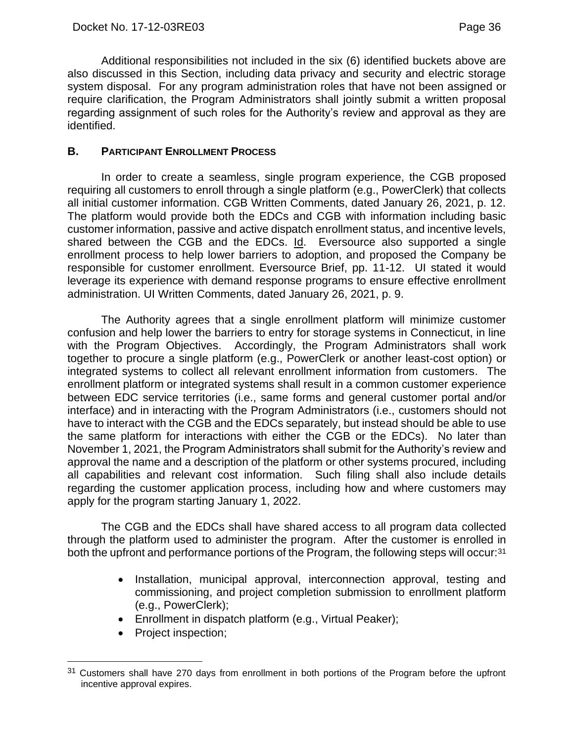Additional responsibilities not included in the six (6) identified buckets above are also discussed in this Section, including data privacy and security and electric storage system disposal. For any program administration roles that have not been assigned or require clarification, the Program Administrators shall jointly submit a written proposal regarding assignment of such roles for the Authority's review and approval as they are identified.

#### <span id="page-37-0"></span>**B. PARTICIPANT ENROLLMENT PROCESS**

In order to create a seamless, single program experience, the CGB proposed requiring all customers to enroll through a single platform (e.g., PowerClerk) that collects all initial customer information. CGB Written Comments, dated January 26, 2021, p. 12. The platform would provide both the EDCs and CGB with information including basic customer information, passive and active dispatch enrollment status, and incentive levels, shared between the CGB and the EDCs. Id. Eversource also supported a single enrollment process to help lower barriers to adoption, and proposed the Company be responsible for customer enrollment. Eversource Brief, pp. 11-12. UI stated it would leverage its experience with demand response programs to ensure effective enrollment administration. UI Written Comments, dated January 26, 2021, p. 9.

The Authority agrees that a single enrollment platform will minimize customer confusion and help lower the barriers to entry for storage systems in Connecticut, in line with the Program Objectives. Accordingly, the Program Administrators shall work together to procure a single platform (e.g., PowerClerk or another least-cost option) or integrated systems to collect all relevant enrollment information from customers. The enrollment platform or integrated systems shall result in a common customer experience between EDC service territories (i.e., same forms and general customer portal and/or interface) and in interacting with the Program Administrators (i.e., customers should not have to interact with the CGB and the EDCs separately, but instead should be able to use the same platform for interactions with either the CGB or the EDCs). No later than November 1, 2021, the Program Administrators shall submit for the Authority's review and approval the name and a description of the platform or other systems procured, including all capabilities and relevant cost information. Such filing shall also include details regarding the customer application process, including how and where customers may apply for the program starting January 1, 2022.

The CGB and the EDCs shall have shared access to all program data collected through the platform used to administer the program. After the customer is enrolled in both the upfront and performance portions of the Program, the following steps will occur:<sup>31</sup>

- Installation, municipal approval, interconnection approval, testing and commissioning, and project completion submission to enrollment platform (e.g., PowerClerk);
- Enrollment in dispatch platform (e.g., Virtual Peaker);
- Project inspection;

<sup>&</sup>lt;sup>31</sup> Customers shall have 270 days from enrollment in both portions of the Program before the upfront incentive approval expires.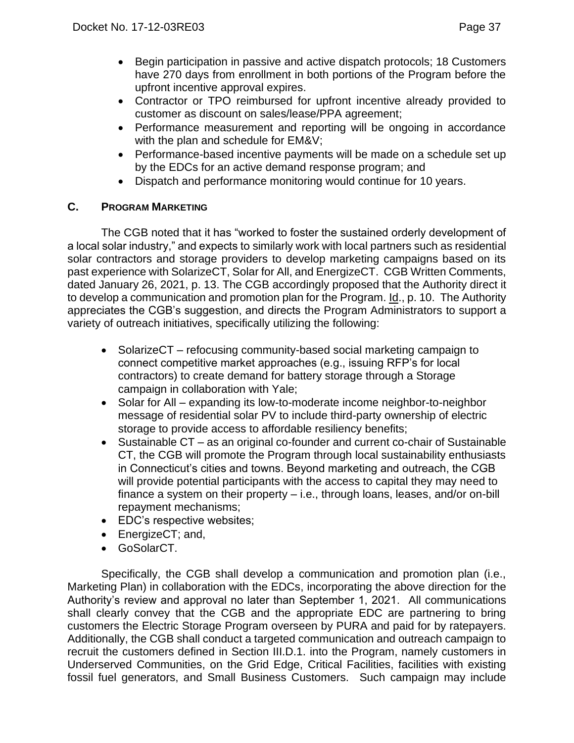- Begin participation in passive and active dispatch protocols; 18 Customers have 270 days from enrollment in both portions of the Program before the upfront incentive approval expires.
- Contractor or TPO reimbursed for upfront incentive already provided to customer as discount on sales/lease/PPA agreement;
- Performance measurement and reporting will be ongoing in accordance with the plan and schedule for EM&V;
- Performance-based incentive payments will be made on a schedule set up by the EDCs for an active demand response program; and
- Dispatch and performance monitoring would continue for 10 years.

# <span id="page-38-0"></span>**C. PROGRAM MARKETING**

The CGB noted that it has "worked to foster the sustained orderly development of a local solar industry," and expects to similarly work with local partners such as residential solar contractors and storage providers to develop marketing campaigns based on its past experience with SolarizeCT, Solar for All, and EnergizeCT. CGB Written Comments, dated January 26, 2021, p. 13. The CGB accordingly proposed that the Authority direct it to develop a communication and promotion plan for the Program. Id., p. 10. The Authority appreciates the CGB's suggestion, and directs the Program Administrators to support a variety of outreach initiatives, specifically utilizing the following:

- SolarizeCT refocusing community-based social marketing campaign to connect competitive market approaches (e.g., issuing RFP's for local contractors) to create demand for battery storage through a Storage campaign in collaboration with Yale;
- Solar for All expanding its low-to-moderate income neighbor-to-neighbor message of residential solar PV to include third-party ownership of electric storage to provide access to affordable resiliency benefits;
- Sustainable CT as an original co-founder and current co-chair of Sustainable CT, the CGB will promote the Program through local sustainability enthusiasts in Connecticut's cities and towns. Beyond marketing and outreach, the CGB will provide potential participants with the access to capital they may need to finance a system on their property – i.e., through loans, leases, and/or on-bill repayment mechanisms;
- EDC's respective websites;
- EnergizeCT; and,
- GoSolarCT.

Specifically, the CGB shall develop a communication and promotion plan (i.e., Marketing Plan) in collaboration with the EDCs, incorporating the above direction for the Authority's review and approval no later than September 1, 2021. All communications shall clearly convey that the CGB and the appropriate EDC are partnering to bring customers the Electric Storage Program overseen by PURA and paid for by ratepayers. Additionally, the CGB shall conduct a targeted communication and outreach campaign to recruit the customers defined in Section III.D.1. into the Program, namely customers in Underserved Communities, on the Grid Edge, Critical Facilities, facilities with existing fossil fuel generators, and Small Business Customers. Such campaign may include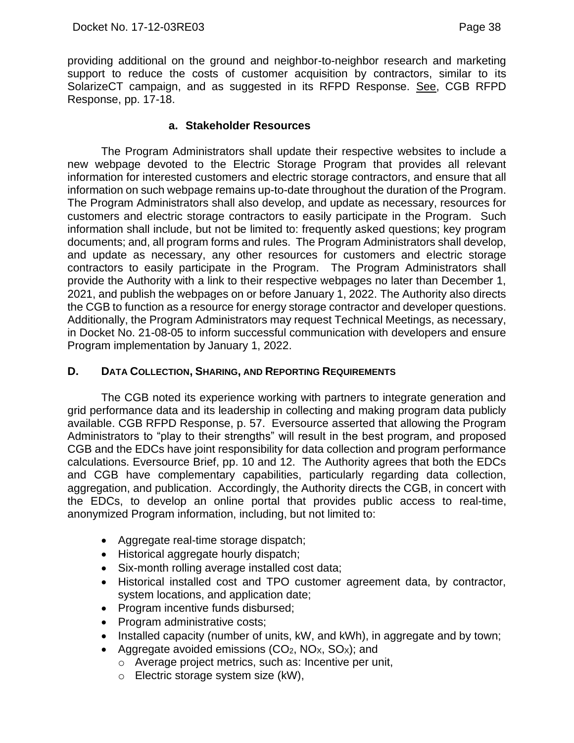providing additional on the ground and neighbor-to-neighbor research and marketing support to reduce the costs of customer acquisition by contractors, similar to its SolarizeCT campaign, and as suggested in its RFPD Response. See, CGB RFPD Response, pp. 17-18.

#### **a. Stakeholder Resources**

The Program Administrators shall update their respective websites to include a new webpage devoted to the Electric Storage Program that provides all relevant information for interested customers and electric storage contractors, and ensure that all information on such webpage remains up-to-date throughout the duration of the Program. The Program Administrators shall also develop, and update as necessary, resources for customers and electric storage contractors to easily participate in the Program. Such information shall include, but not be limited to: frequently asked questions; key program documents; and, all program forms and rules. The Program Administrators shall develop, and update as necessary, any other resources for customers and electric storage contractors to easily participate in the Program. The Program Administrators shall provide the Authority with a link to their respective webpages no later than December 1, 2021, and publish the webpages on or before January 1, 2022. The Authority also directs the CGB to function as a resource for energy storage contractor and developer questions. Additionally, the Program Administrators may request Technical Meetings, as necessary, in Docket No. 21-08-05 to inform successful communication with developers and ensure Program implementation by January 1, 2022.

### <span id="page-39-0"></span>**D. DATA COLLECTION, SHARING, AND REPORTING REQUIREMENTS**

The CGB noted its experience working with partners to integrate generation and grid performance data and its leadership in collecting and making program data publicly available. CGB RFPD Response, p. 57. Eversource asserted that allowing the Program Administrators to "play to their strengths" will result in the best program, and proposed CGB and the EDCs have joint responsibility for data collection and program performance calculations. Eversource Brief, pp. 10 and 12. The Authority agrees that both the EDCs and CGB have complementary capabilities, particularly regarding data collection, aggregation, and publication. Accordingly, the Authority directs the CGB, in concert with the EDCs, to develop an online portal that provides public access to real-time, anonymized Program information, including, but not limited to:

- Aggregate real-time storage dispatch;
- Historical aggregate hourly dispatch;
- Six-month rolling average installed cost data;
- Historical installed cost and TPO customer agreement data, by contractor, system locations, and application date;
- Program incentive funds disbursed;
- Program administrative costs;
- Installed capacity (number of units, kW, and kWh), in aggregate and by town;
- Aggregate avoided emissions  $(CO_2, NO_X, SO_X)$ ; and
	- o Average project metrics, such as: Incentive per unit,
	- o Electric storage system size (kW),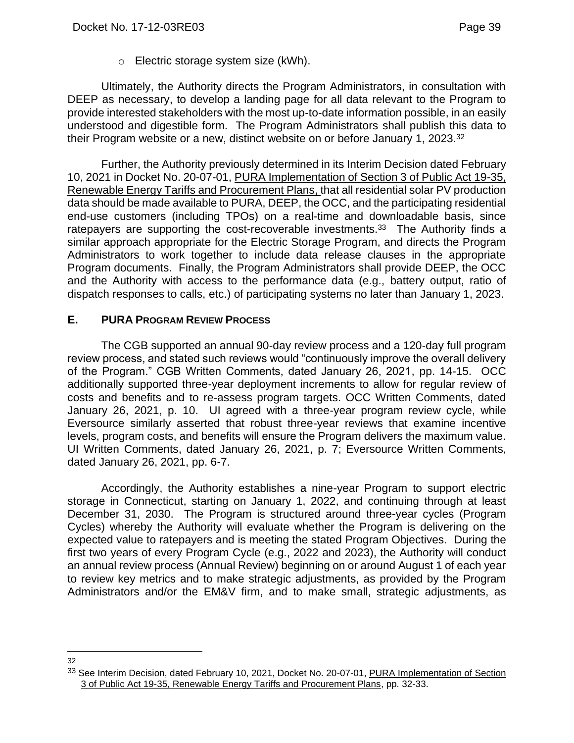o Electric storage system size (kWh).

Ultimately, the Authority directs the Program Administrators, in consultation with DEEP as necessary, to develop a landing page for all data relevant to the Program to provide interested stakeholders with the most up-to-date information possible, in an easily understood and digestible form. The Program Administrators shall publish this data to their Program website or a new, distinct website on or before January 1, 2023.<sup>32</sup>

Further, the Authority previously determined in its Interim Decision dated February 10, 2021 in Docket No. 20-07-01, PURA Implementation of Section 3 of Public Act 19-35, Renewable Energy Tariffs and Procurement Plans, that all residential solar PV production data should be made available to PURA, DEEP, the OCC, and the participating residential end-use customers (including TPOs) on a real-time and downloadable basis, since ratepayers are supporting the cost-recoverable investments.<sup>33</sup> The Authority finds a similar approach appropriate for the Electric Storage Program, and directs the Program Administrators to work together to include data release clauses in the appropriate Program documents. Finally, the Program Administrators shall provide DEEP, the OCC and the Authority with access to the performance data (e.g., battery output, ratio of dispatch responses to calls, etc.) of participating systems no later than January 1, 2023.

### <span id="page-40-0"></span>**E. PURA PROGRAM REVIEW PROCESS**

The CGB supported an annual 90-day review process and a 120-day full program review process, and stated such reviews would "continuously improve the overall delivery of the Program." CGB Written Comments, dated January 26, 2021, pp. 14-15. OCC additionally supported three-year deployment increments to allow for regular review of costs and benefits and to re-assess program targets. OCC Written Comments, dated January 26, 2021, p. 10. UI agreed with a three-year program review cycle, while Eversource similarly asserted that robust three-year reviews that examine incentive levels, program costs, and benefits will ensure the Program delivers the maximum value. UI Written Comments, dated January 26, 2021, p. 7; Eversource Written Comments, dated January 26, 2021, pp. 6-7.

Accordingly, the Authority establishes a nine-year Program to support electric storage in Connecticut, starting on January 1, 2022, and continuing through at least December 31, 2030. The Program is structured around three-year cycles (Program Cycles) whereby the Authority will evaluate whether the Program is delivering on the expected value to ratepayers and is meeting the stated Program Objectives. During the first two years of every Program Cycle (e.g., 2022 and 2023), the Authority will conduct an annual review process (Annual Review) beginning on or around August 1 of each year to review key metrics and to make strategic adjustments, as provided by the Program Administrators and/or the EM&V firm, and to make small, strategic adjustments, as

<sup>32</sup>

<sup>33</sup> See Interim Decision, dated February 10, 2021, Docket No. 20-07-01, PURA Implementation of Section 3 of Public Act 19-35, Renewable Energy Tariffs and Procurement Plans, pp. 32-33.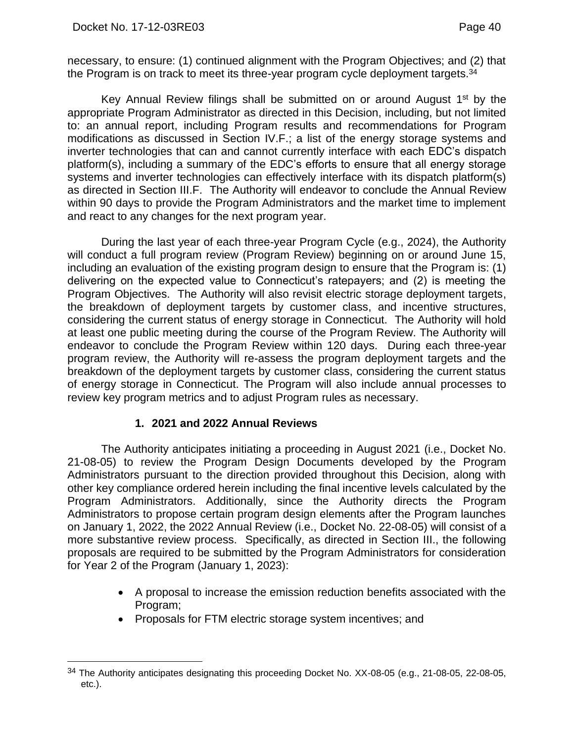necessary, to ensure: (1) continued alignment with the Program Objectives; and (2) that the Program is on track to meet its three-year program cycle deployment targets.<sup>34</sup>

Key Annual Review filings shall be submitted on or around August 1<sup>st</sup> by the appropriate Program Administrator as directed in this Decision, including, but not limited to: an annual report, including Program results and recommendations for Program modifications as discussed in Section IV.F.; a list of the energy storage systems and inverter technologies that can and cannot currently interface with each EDC's dispatch platform(s), including a summary of the EDC's efforts to ensure that all energy storage systems and inverter technologies can effectively interface with its dispatch platform(s) as directed in Section III.F. The Authority will endeavor to conclude the Annual Review within 90 days to provide the Program Administrators and the market time to implement and react to any changes for the next program year.

During the last year of each three-year Program Cycle (e.g., 2024), the Authority will conduct a full program review (Program Review) beginning on or around June 15, including an evaluation of the existing program design to ensure that the Program is: (1) delivering on the expected value to Connecticut's ratepayers; and (2) is meeting the Program Objectives. The Authority will also revisit electric storage deployment targets, the breakdown of deployment targets by customer class, and incentive structures, considering the current status of energy storage in Connecticut. The Authority will hold at least one public meeting during the course of the Program Review. The Authority will endeavor to conclude the Program Review within 120 days. During each three-year program review, the Authority will re-assess the program deployment targets and the breakdown of the deployment targets by customer class, considering the current status of energy storage in Connecticut. The Program will also include annual processes to review key program metrics and to adjust Program rules as necessary.

# **1. 2021 and 2022 Annual Reviews**

<span id="page-41-0"></span>The Authority anticipates initiating a proceeding in August 2021 (i.e., Docket No. 21-08-05) to review the Program Design Documents developed by the Program Administrators pursuant to the direction provided throughout this Decision, along with other key compliance ordered herein including the final incentive levels calculated by the Program Administrators. Additionally, since the Authority directs the Program Administrators to propose certain program design elements after the Program launches on January 1, 2022, the 2022 Annual Review (i.e., Docket No. 22-08-05) will consist of a more substantive review process. Specifically, as directed in Section III., the following proposals are required to be submitted by the Program Administrators for consideration for Year 2 of the Program (January 1, 2023):

- A proposal to increase the emission reduction benefits associated with the Program;
- Proposals for FTM electric storage system incentives; and

<sup>34</sup> The Authority anticipates designating this proceeding Docket No. XX-08-05 (e.g., 21-08-05, 22-08-05, etc.).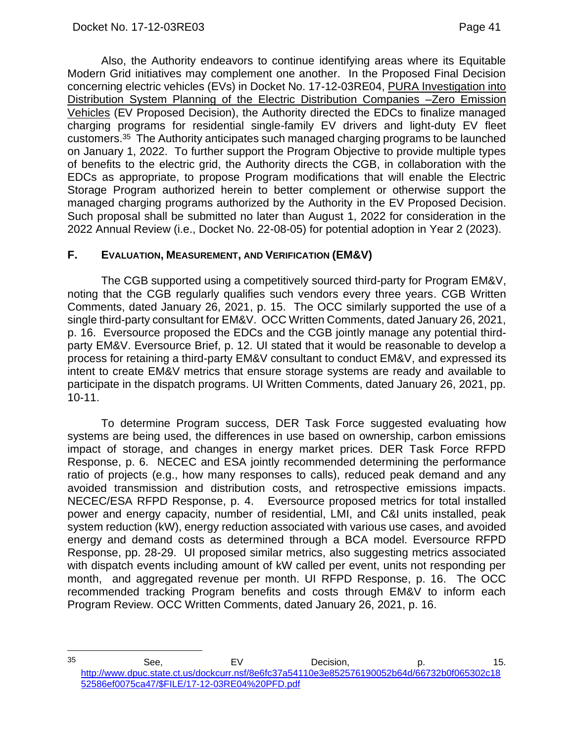Also, the Authority endeavors to continue identifying areas where its Equitable Modern Grid initiatives may complement one another. In the Proposed Final Decision concerning electric vehicles (EVs) in Docket No. 17-12-03RE04, PURA Investigation into Distribution System Planning of the Electric Distribution Companies –Zero Emission Vehicles (EV Proposed Decision), the Authority directed the EDCs to finalize managed charging programs for residential single-family EV drivers and light-duty EV fleet customers.35 The Authority anticipates such managed charging programs to be launched on January 1, 2022. To further support the Program Objective to provide multiple types of benefits to the electric grid, the Authority directs the CGB, in collaboration with the EDCs as appropriate, to propose Program modifications that will enable the Electric Storage Program authorized herein to better complement or otherwise support the managed charging programs authorized by the Authority in the EV Proposed Decision. Such proposal shall be submitted no later than August 1, 2022 for consideration in the 2022 Annual Review (i.e., Docket No. 22-08-05) for potential adoption in Year 2 (2023).

### <span id="page-42-0"></span>**F. EVALUATION, MEASUREMENT, AND VERIFICATION (EM&V)**

The CGB supported using a competitively sourced third-party for Program EM&V, noting that the CGB regularly qualifies such vendors every three years. CGB Written Comments, dated January 26, 2021, p. 15. The OCC similarly supported the use of a single third-party consultant for EM&V. OCC Written Comments, dated January 26, 2021, p. 16. Eversource proposed the EDCs and the CGB jointly manage any potential thirdparty EM&V. Eversource Brief, p. 12. UI stated that it would be reasonable to develop a process for retaining a third-party EM&V consultant to conduct EM&V, and expressed its intent to create EM&V metrics that ensure storage systems are ready and available to participate in the dispatch programs. UI Written Comments, dated January 26, 2021, pp. 10-11.

To determine Program success, DER Task Force suggested evaluating how systems are being used, the differences in use based on ownership, carbon emissions impact of storage, and changes in energy market prices. DER Task Force RFPD Response, p. 6. NECEC and ESA jointly recommended determining the performance ratio of projects (e.g., how many responses to calls), reduced peak demand and any avoided transmission and distribution costs, and retrospective emissions impacts. NECEC/ESA RFPD Response, p. 4. Eversource proposed metrics for total installed power and energy capacity, number of residential, LMI, and C&I units installed, peak system reduction (kW), energy reduction associated with various use cases, and avoided energy and demand costs as determined through a BCA model. Eversource RFPD Response, pp. 28-29. UI proposed similar metrics, also suggesting metrics associated with dispatch events including amount of kW called per event, units not responding per month, and aggregated revenue per month. UI RFPD Response, p. 16. The OCC recommended tracking Program benefits and costs through EM&V to inform each Program Review. OCC Written Comments, dated January 26, 2021, p. 16.

<sup>&</sup>lt;sup>35</sup> See, EV Decision, p. 15. [http://www.dpuc.state.ct.us/dockcurr.nsf/8e6fc37a54110e3e852576190052b64d/66732b0f065302c18](http://www.dpuc.state.ct.us/dockcurr.nsf/8e6fc37a54110e3e852576190052b64d/66732b0f065302c1852586ef0075ca47/$FILE/17-12-03RE04%20PFD.pdf) [52586ef0075ca47/\\$FILE/17-12-03RE04%20PFD.pdf](http://www.dpuc.state.ct.us/dockcurr.nsf/8e6fc37a54110e3e852576190052b64d/66732b0f065302c1852586ef0075ca47/$FILE/17-12-03RE04%20PFD.pdf)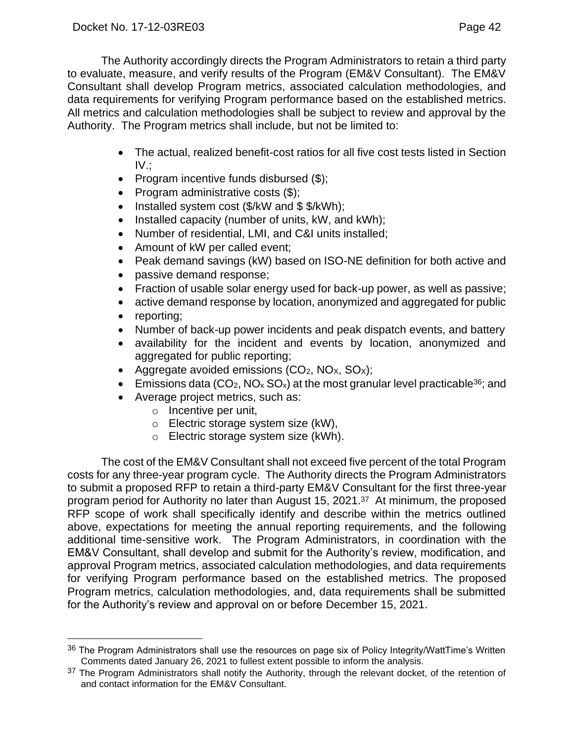The Authority accordingly directs the Program Administrators to retain a third party to evaluate, measure, and verify results of the Program (EM&V Consultant). The EM&V Consultant shall develop Program metrics, associated calculation methodologies, and data requirements for verifying Program performance based on the established metrics. All metrics and calculation methodologies shall be subject to review and approval by the Authority. The Program metrics shall include, but not be limited to:

- The actual, realized benefit-cost ratios for all five cost tests listed in Section IV.;
- Program incentive funds disbursed (\$);
- Program administrative costs (\$);
- Installed system cost (\$/kW and \$ \$/kWh);
- Installed capacity (number of units, kW, and kWh);
- Number of residential, LMI, and C&I units installed;
- Amount of kW per called event;
- Peak demand savings (kW) based on ISO-NE definition for both active and
- passive demand response;
- Fraction of usable solar energy used for back-up power, as well as passive;
- active demand response by location, anonymized and aggregated for public
- reporting;
- Number of back-up power incidents and peak dispatch events, and battery
- availability for the incident and events by location, anonymized and aggregated for public reporting;
- Aggregate avoided emissions  $(CO<sub>2</sub>, NO<sub>X</sub>, SO<sub>X</sub>)$ ;
- Emissions data (CO<sub>2</sub>, NO<sub>x</sub> SO<sub>x</sub>) at the most granular level practicable<sup>36</sup>; and
- Average project metrics, such as:
	- o Incentive per unit,
	- o Electric storage system size (kW),
	- o Electric storage system size (kWh).

The cost of the EM&V Consultant shall not exceed five percent of the total Program costs for any three-year program cycle. The Authority directs the Program Administrators to submit a proposed RFP to retain a third-party EM&V Consultant for the first three-year program period for Authority no later than August 15, 2021.37 At minimum, the proposed RFP scope of work shall specifically identify and describe within the metrics outlined above, expectations for meeting the annual reporting requirements, and the following additional time-sensitive work. The Program Administrators, in coordination with the EM&V Consultant, shall develop and submit for the Authority's review, modification, and approval Program metrics, associated calculation methodologies, and data requirements for verifying Program performance based on the established metrics. The proposed Program metrics, calculation methodologies, and, data requirements shall be submitted for the Authority's review and approval on or before December 15, 2021.

<sup>&</sup>lt;sup>36</sup> The Program Administrators shall use the resources on page six of Policy Integrity/WattTime's Written Comments dated January 26, 2021 to fullest extent possible to inform the analysis.

<sup>&</sup>lt;sup>37</sup> The Program Administrators shall notify the Authority, through the relevant docket, of the retention of and contact information for the EM&V Consultant.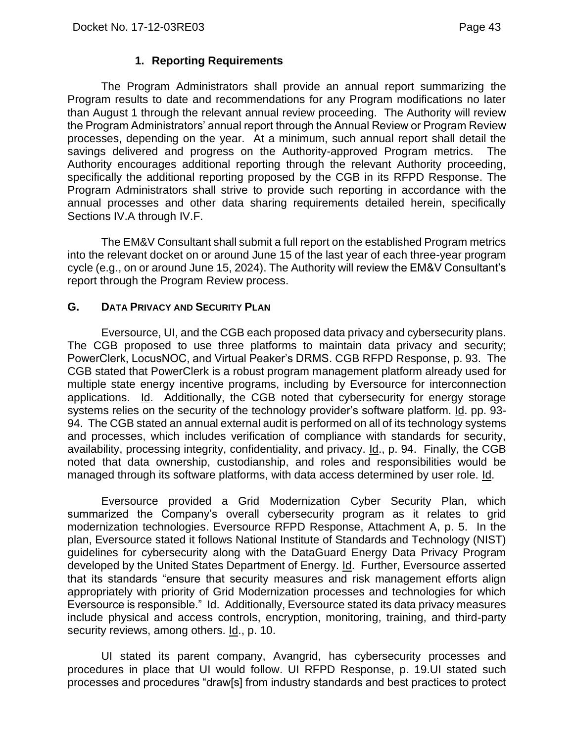# **1. Reporting Requirements**

<span id="page-44-0"></span>The Program Administrators shall provide an annual report summarizing the Program results to date and recommendations for any Program modifications no later than August 1 through the relevant annual review proceeding. The Authority will review the Program Administrators' annual report through the Annual Review or Program Review processes, depending on the year. At a minimum, such annual report shall detail the savings delivered and progress on the Authority-approved Program metrics. The Authority encourages additional reporting through the relevant Authority proceeding, specifically the additional reporting proposed by the CGB in its RFPD Response. The Program Administrators shall strive to provide such reporting in accordance with the annual processes and other data sharing requirements detailed herein, specifically Sections IV.A through IV.F.

The EM&V Consultant shall submit a full report on the established Program metrics into the relevant docket on or around June 15 of the last year of each three-year program cycle (e.g., on or around June 15, 2024). The Authority will review the EM&V Consultant's report through the Program Review process.

### <span id="page-44-1"></span>**G. DATA PRIVACY AND SECURITY PLAN**

Eversource, UI, and the CGB each proposed data privacy and cybersecurity plans. The CGB proposed to use three platforms to maintain data privacy and security; PowerClerk, LocusNOC, and Virtual Peaker's DRMS. CGB RFPD Response, p. 93. The CGB stated that PowerClerk is a robust program management platform already used for multiple state energy incentive programs, including by Eversource for interconnection applications. Id. Additionally, the CGB noted that cybersecurity for energy storage systems relies on the security of the technology provider's software platform. Id. pp. 93- 94. The CGB stated an annual external audit is performed on all of its technology systems and processes, which includes verification of compliance with standards for security, availability, processing integrity, confidentiality, and privacy. Id., p. 94. Finally, the CGB noted that data ownership, custodianship, and roles and responsibilities would be managed through its software platforms, with data access determined by user role. Id.

Eversource provided a Grid Modernization Cyber Security Plan, which summarized the Company's overall cybersecurity program as it relates to grid modernization technologies. Eversource RFPD Response, Attachment A, p. 5. In the plan, Eversource stated it follows National Institute of Standards and Technology (NIST) guidelines for cybersecurity along with the DataGuard Energy Data Privacy Program developed by the United States Department of Energy. Id. Further, Eversource asserted that its standards "ensure that security measures and risk management efforts align appropriately with priority of Grid Modernization processes and technologies for which Eversource is responsible." Id. Additionally, Eversource stated its data privacy measures include physical and access controls, encryption, monitoring, training, and third-party security reviews, among others. Id., p. 10.

UI stated its parent company, Avangrid, has cybersecurity processes and procedures in place that UI would follow. UI RFPD Response, p. 19.UI stated such processes and procedures "draw[s] from industry standards and best practices to protect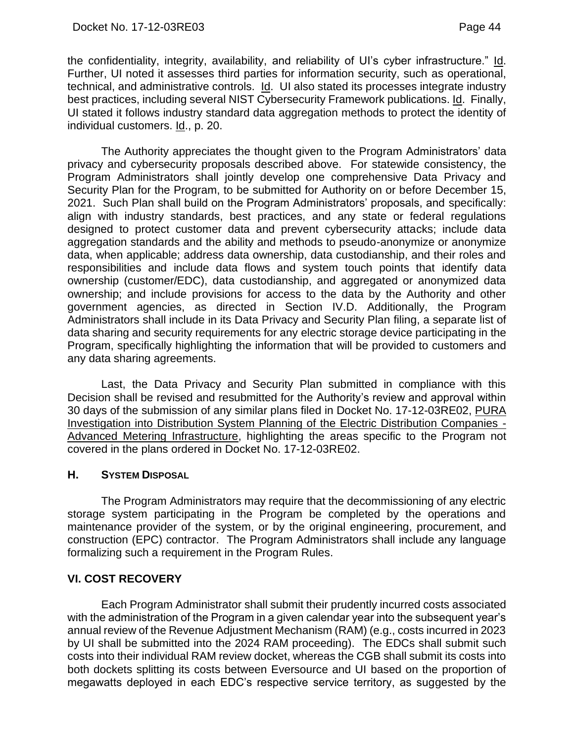the confidentiality, integrity, availability, and reliability of UI's cyber infrastructure." Id. Further, UI noted it assesses third parties for information security, such as operational, technical, and administrative controls. Id. UI also stated its processes integrate industry best practices, including several NIST Cybersecurity Framework publications. Id. Finally, UI stated it follows industry standard data aggregation methods to protect the identity of individual customers. Id., p. 20.

The Authority appreciates the thought given to the Program Administrators' data privacy and cybersecurity proposals described above. For statewide consistency, the Program Administrators shall jointly develop one comprehensive Data Privacy and Security Plan for the Program, to be submitted for Authority on or before December 15, 2021. Such Plan shall build on the Program Administrators' proposals, and specifically: align with industry standards, best practices, and any state or federal regulations designed to protect customer data and prevent cybersecurity attacks; include data aggregation standards and the ability and methods to pseudo-anonymize or anonymize data, when applicable; address data ownership, data custodianship, and their roles and responsibilities and include data flows and system touch points that identify data ownership (customer/EDC), data custodianship, and aggregated or anonymized data ownership; and include provisions for access to the data by the Authority and other government agencies, as directed in Section IV.D. Additionally, the Program Administrators shall include in its Data Privacy and Security Plan filing, a separate list of data sharing and security requirements for any electric storage device participating in the Program, specifically highlighting the information that will be provided to customers and any data sharing agreements.

Last, the Data Privacy and Security Plan submitted in compliance with this Decision shall be revised and resubmitted for the Authority's review and approval within 30 days of the submission of any similar plans filed in Docket No. 17-12-03RE02, PURA Investigation into Distribution System Planning of the Electric Distribution Companies - Advanced Metering Infrastructure, highlighting the areas specific to the Program not covered in the plans ordered in Docket No. 17-12-03RE02.

#### <span id="page-45-0"></span>**H. SYSTEM DISPOSAL**

The Program Administrators may require that the decommissioning of any electric storage system participating in the Program be completed by the operations and maintenance provider of the system, or by the original engineering, procurement, and construction (EPC) contractor. The Program Administrators shall include any language formalizing such a requirement in the Program Rules.

# <span id="page-45-1"></span>**VI. COST RECOVERY**

Each Program Administrator shall submit their prudently incurred costs associated with the administration of the Program in a given calendar year into the subsequent year's annual review of the Revenue Adjustment Mechanism (RAM) (e.g., costs incurred in 2023 by UI shall be submitted into the 2024 RAM proceeding). The EDCs shall submit such costs into their individual RAM review docket, whereas the CGB shall submit its costs into both dockets splitting its costs between Eversource and UI based on the proportion of megawatts deployed in each EDC's respective service territory, as suggested by the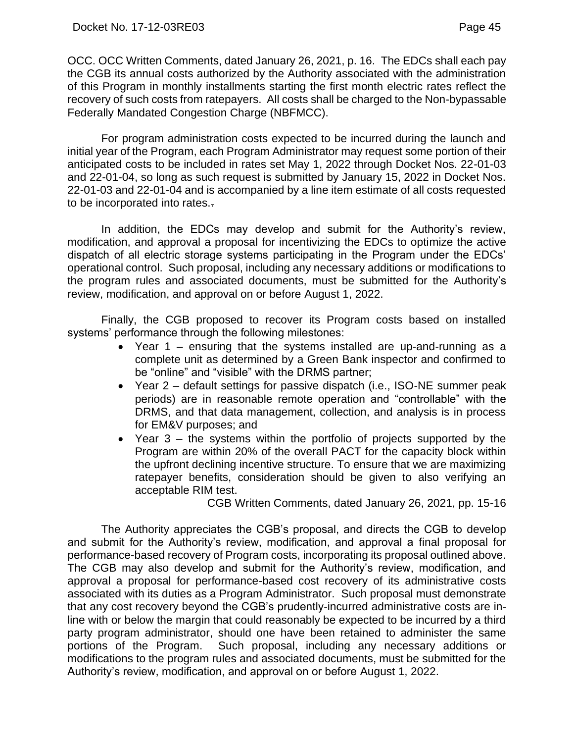OCC. OCC Written Comments, dated January 26, 2021, p. 16. The EDCs shall each pay the CGB its annual costs authorized by the Authority associated with the administration of this Program in monthly installments starting the first month electric rates reflect the recovery of such costs from ratepayers. All costs shall be charged to the Non-bypassable Federally Mandated Congestion Charge (NBFMCC).

For program administration costs expected to be incurred during the launch and initial year of the Program, each Program Administrator may request some portion of their anticipated costs to be included in rates set May 1, 2022 through Docket Nos. 22-01-03 and 22-01-04, so long as such request is submitted by January 15, 2022 in Docket Nos. 22-01-03 and 22-01-04 and is accompanied by a line item estimate of all costs requested to be incorporated into rates..

In addition, the EDCs may develop and submit for the Authority's review, modification, and approval a proposal for incentivizing the EDCs to optimize the active dispatch of all electric storage systems participating in the Program under the EDCs' operational control. Such proposal, including any necessary additions or modifications to the program rules and associated documents, must be submitted for the Authority's review, modification, and approval on or before August 1, 2022.

Finally, the CGB proposed to recover its Program costs based on installed systems' performance through the following milestones:

- Year 1 ensuring that the systems installed are up-and-running as a complete unit as determined by a Green Bank inspector and confirmed to be "online" and "visible" with the DRMS partner;
- Year 2 default settings for passive dispatch (i.e., ISO-NE summer peak periods) are in reasonable remote operation and "controllable" with the DRMS, and that data management, collection, and analysis is in process for EM&V purposes; and
- Year 3 the systems within the portfolio of projects supported by the Program are within 20% of the overall PACT for the capacity block within the upfront declining incentive structure. To ensure that we are maximizing ratepayer benefits, consideration should be given to also verifying an acceptable RIM test.

CGB Written Comments, dated January 26, 2021, pp. 15-16

The Authority appreciates the CGB's proposal, and directs the CGB to develop and submit for the Authority's review, modification, and approval a final proposal for performance-based recovery of Program costs, incorporating its proposal outlined above. The CGB may also develop and submit for the Authority's review, modification, and approval a proposal for performance-based cost recovery of its administrative costs associated with its duties as a Program Administrator. Such proposal must demonstrate that any cost recovery beyond the CGB's prudently-incurred administrative costs are inline with or below the margin that could reasonably be expected to be incurred by a third party program administrator, should one have been retained to administer the same portions of the Program. Such proposal, including any necessary additions or modifications to the program rules and associated documents, must be submitted for the Authority's review, modification, and approval on or before August 1, 2022.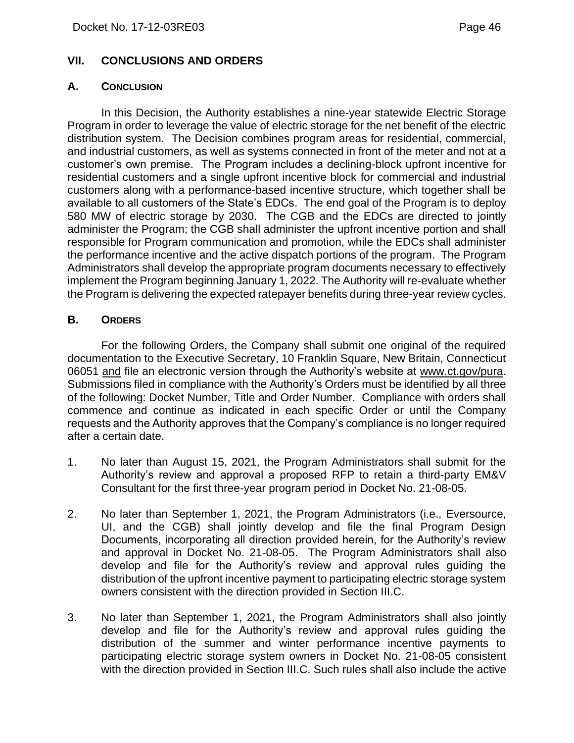#### <span id="page-47-0"></span>**VII. CONCLUSIONS AND ORDERS**

#### <span id="page-47-1"></span>**A. CONCLUSION**

In this Decision, the Authority establishes a nine-year statewide Electric Storage Program in order to leverage the value of electric storage for the net benefit of the electric distribution system. The Decision combines program areas for residential, commercial, and industrial customers, as well as systems connected in front of the meter and not at a customer's own premise. The Program includes a declining-block upfront incentive for residential customers and a single upfront incentive block for commercial and industrial customers along with a performance-based incentive structure, which together shall be available to all customers of the State's EDCs. The end goal of the Program is to deploy 580 MW of electric storage by 2030. The CGB and the EDCs are directed to jointly administer the Program; the CGB shall administer the upfront incentive portion and shall responsible for Program communication and promotion, while the EDCs shall administer the performance incentive and the active dispatch portions of the program. The Program Administrators shall develop the appropriate program documents necessary to effectively implement the Program beginning January 1, 2022. The Authority will re-evaluate whether the Program is delivering the expected ratepayer benefits during three-year review cycles.

#### <span id="page-47-2"></span>**B. ORDERS**

For the following Orders, the Company shall submit one original of the required documentation to the Executive Secretary, 10 Franklin Square, New Britain, Connecticut 06051 and file an electronic version through the Authority's website at www.ct.gov/pura. Submissions filed in compliance with the Authority's Orders must be identified by all three of the following: Docket Number, Title and Order Number. Compliance with orders shall commence and continue as indicated in each specific Order or until the Company requests and the Authority approves that the Company's compliance is no longer required after a certain date.

- 1. No later than August 15, 2021, the Program Administrators shall submit for the Authority's review and approval a proposed RFP to retain a third-party EM&V Consultant for the first three-year program period in Docket No. 21-08-05.
- 2. No later than September 1, 2021, the Program Administrators (i.e., Eversource, UI, and the CGB) shall jointly develop and file the final Program Design Documents, incorporating all direction provided herein, for the Authority's review and approval in Docket No. 21-08-05. The Program Administrators shall also develop and file for the Authority's review and approval rules guiding the distribution of the upfront incentive payment to participating electric storage system owners consistent with the direction provided in Section III.C.
- 3. No later than September 1, 2021, the Program Administrators shall also jointly develop and file for the Authority's review and approval rules guiding the distribution of the summer and winter performance incentive payments to participating electric storage system owners in Docket No. 21-08-05 consistent with the direction provided in Section III.C. Such rules shall also include the active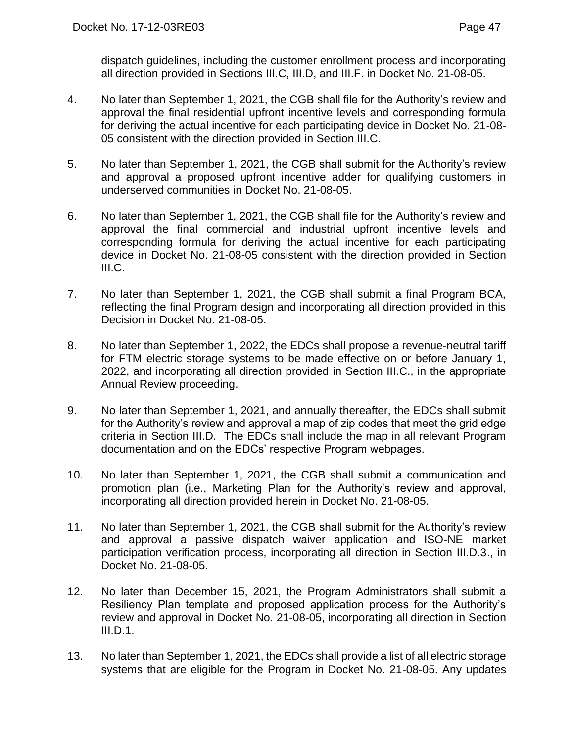dispatch guidelines, including the customer enrollment process and incorporating all direction provided in Sections III.C, III.D, and III.F. in Docket No. 21-08-05.

- 4. No later than September 1, 2021, the CGB shall file for the Authority's review and approval the final residential upfront incentive levels and corresponding formula for deriving the actual incentive for each participating device in Docket No. 21-08- 05 consistent with the direction provided in Section III.C.
- 5. No later than September 1, 2021, the CGB shall submit for the Authority's review and approval a proposed upfront incentive adder for qualifying customers in underserved communities in Docket No. 21-08-05.
- 6. No later than September 1, 2021, the CGB shall file for the Authority's review and approval the final commercial and industrial upfront incentive levels and corresponding formula for deriving the actual incentive for each participating device in Docket No. 21-08-05 consistent with the direction provided in Section III.C.
- 7. No later than September 1, 2021, the CGB shall submit a final Program BCA, reflecting the final Program design and incorporating all direction provided in this Decision in Docket No. 21-08-05.
- 8. No later than September 1, 2022, the EDCs shall propose a revenue-neutral tariff for FTM electric storage systems to be made effective on or before January 1, 2022, and incorporating all direction provided in Section III.C., in the appropriate Annual Review proceeding.
- 9. No later than September 1, 2021, and annually thereafter, the EDCs shall submit for the Authority's review and approval a map of zip codes that meet the grid edge criteria in Section III.D. The EDCs shall include the map in all relevant Program documentation and on the EDCs' respective Program webpages.
- 10. No later than September 1, 2021, the CGB shall submit a communication and promotion plan (i.e., Marketing Plan for the Authority's review and approval, incorporating all direction provided herein in Docket No. 21-08-05.
- 11. No later than September 1, 2021, the CGB shall submit for the Authority's review and approval a passive dispatch waiver application and ISO-NE market participation verification process, incorporating all direction in Section III.D.3., in Docket No. 21-08-05.
- 12. No later than December 15, 2021, the Program Administrators shall submit a Resiliency Plan template and proposed application process for the Authority's review and approval in Docket No. 21-08-05, incorporating all direction in Section III.D.1.
- 13. No later than September 1, 2021, the EDCs shall provide a list of all electric storage systems that are eligible for the Program in Docket No. 21-08-05. Any updates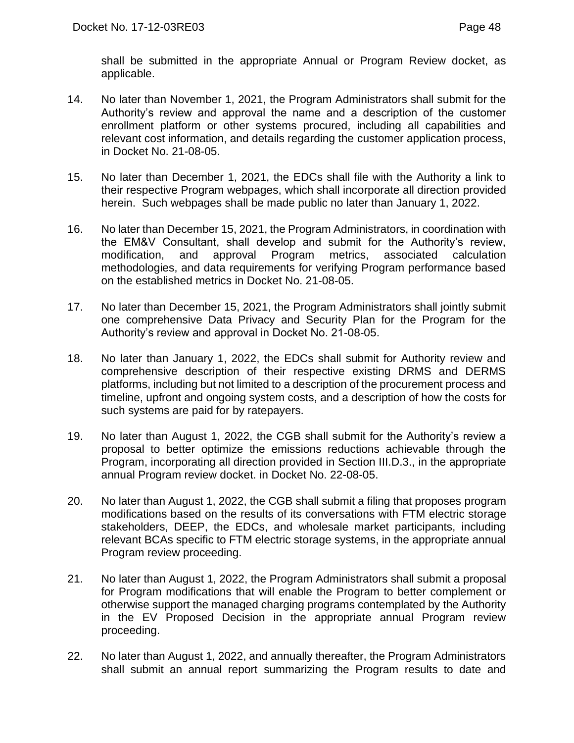shall be submitted in the appropriate Annual or Program Review docket, as applicable.

- 14. No later than November 1, 2021, the Program Administrators shall submit for the Authority's review and approval the name and a description of the customer enrollment platform or other systems procured, including all capabilities and relevant cost information, and details regarding the customer application process, in Docket No. 21-08-05.
- 15. No later than December 1, 2021, the EDCs shall file with the Authority a link to their respective Program webpages, which shall incorporate all direction provided herein. Such webpages shall be made public no later than January 1, 2022.
- 16. No later than December 15, 2021, the Program Administrators, in coordination with the EM&V Consultant, shall develop and submit for the Authority's review, modification, and approval Program metrics, associated calculation methodologies, and data requirements for verifying Program performance based on the established metrics in Docket No. 21-08-05.
- 17. No later than December 15, 2021, the Program Administrators shall jointly submit one comprehensive Data Privacy and Security Plan for the Program for the Authority's review and approval in Docket No. 21-08-05.
- 18. No later than January 1, 2022, the EDCs shall submit for Authority review and comprehensive description of their respective existing DRMS and DERMS platforms, including but not limited to a description of the procurement process and timeline, upfront and ongoing system costs, and a description of how the costs for such systems are paid for by ratepayers.
- 19. No later than August 1, 2022, the CGB shall submit for the Authority's review a proposal to better optimize the emissions reductions achievable through the Program, incorporating all direction provided in Section III.D.3., in the appropriate annual Program review docket. in Docket No. 22-08-05.
- 20. No later than August 1, 2022, the CGB shall submit a filing that proposes program modifications based on the results of its conversations with FTM electric storage stakeholders, DEEP, the EDCs, and wholesale market participants, including relevant BCAs specific to FTM electric storage systems, in the appropriate annual Program review proceeding.
- 21. No later than August 1, 2022, the Program Administrators shall submit a proposal for Program modifications that will enable the Program to better complement or otherwise support the managed charging programs contemplated by the Authority in the EV Proposed Decision in the appropriate annual Program review proceeding.
- 22. No later than August 1, 2022, and annually thereafter, the Program Administrators shall submit an annual report summarizing the Program results to date and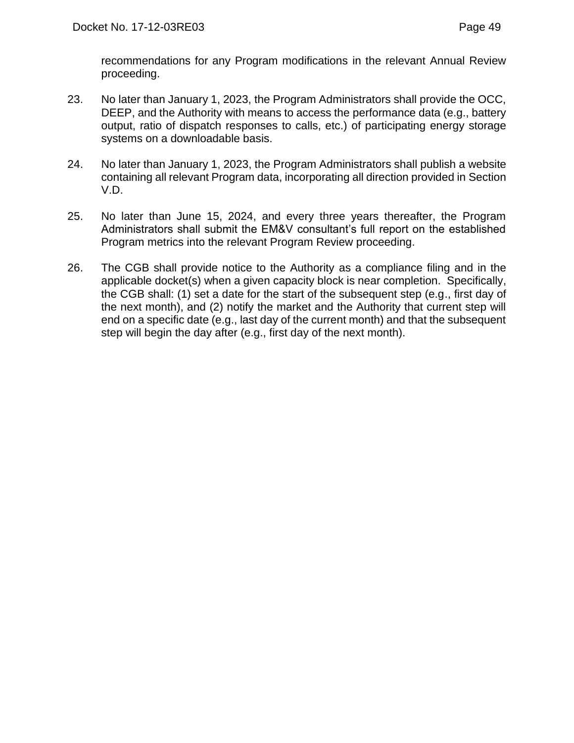recommendations for any Program modifications in the relevant Annual Review proceeding.

- 23. No later than January 1, 2023, the Program Administrators shall provide the OCC, DEEP, and the Authority with means to access the performance data (e.g., battery output, ratio of dispatch responses to calls, etc.) of participating energy storage systems on a downloadable basis.
- 24. No later than January 1, 2023, the Program Administrators shall publish a website containing all relevant Program data, incorporating all direction provided in Section V.D.
- 25. No later than June 15, 2024, and every three years thereafter, the Program Administrators shall submit the EM&V consultant's full report on the established Program metrics into the relevant Program Review proceeding.
- 26. The CGB shall provide notice to the Authority as a compliance filing and in the applicable docket(s) when a given capacity block is near completion. Specifically, the CGB shall: (1) set a date for the start of the subsequent step (e.g., first day of the next month), and (2) notify the market and the Authority that current step will end on a specific date (e.g., last day of the current month) and that the subsequent step will begin the day after (e.g., first day of the next month).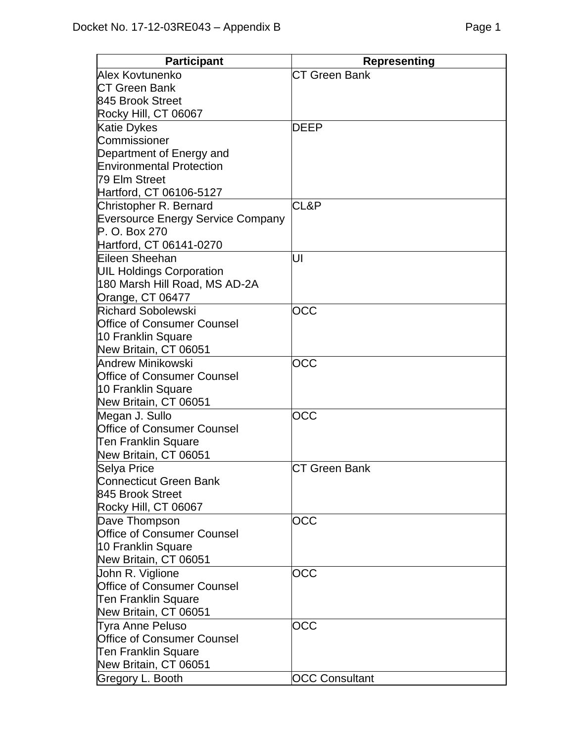| <b>Participant</b>                       | <b>Representing</b>   |
|------------------------------------------|-----------------------|
| Alex Kovtunenko                          | <b>CT Green Bank</b>  |
| <b>CT Green Bank</b>                     |                       |
| 845 Brook Street                         |                       |
| Rocky Hill, CT 06067                     |                       |
| <b>Katie Dykes</b>                       | DEEP                  |
| Commissioner                             |                       |
| Department of Energy and                 |                       |
| <b>Environmental Protection</b>          |                       |
| 79 Elm Street                            |                       |
| Hartford, CT 06106-5127                  |                       |
| Christopher R. Bernard                   | CL&P                  |
| <b>Eversource Energy Service Company</b> |                       |
| P. O. Box 270                            |                       |
| Hartford, CT 06141-0270                  |                       |
| Eileen Sheehan                           | UI                    |
| <b>UIL Holdings Corporation</b>          |                       |
| 180 Marsh Hill Road, MS AD-2A            |                       |
| Orange, CT 06477                         |                       |
| <b>Richard Sobolewski</b>                | OCC                   |
| <b>Office of Consumer Counsel</b>        |                       |
| 10 Franklin Square                       |                       |
| New Britain, CT 06051                    |                       |
| Andrew Minikowski                        | OCC                   |
| <b>Office of Consumer Counsel</b>        |                       |
| 10 Franklin Square                       |                       |
| New Britain, CT 06051                    |                       |
| Megan J. Sullo                           | OCC                   |
| <b>Office of Consumer Counsel</b>        |                       |
| <b>Ten Franklin Square</b>               |                       |
| New Britain, CT 06051                    |                       |
| <b>Selya Price</b>                       | <b>CT Green Bank</b>  |
| <b>Connecticut Green Bank</b>            |                       |
| 845 Brook Street                         |                       |
| Rocky Hill, CT 06067                     |                       |
| Dave Thompson                            | OCC                   |
| <b>Office of Consumer Counsel</b>        |                       |
| 10 Franklin Square                       |                       |
| New Britain, CT 06051                    |                       |
| John R. Viglione                         | OCC                   |
| Office of Consumer Counsel               |                       |
| <b>Ten Franklin Square</b>               |                       |
| New Britain, CT 06051                    |                       |
| <b>Tyra Anne Peluso</b>                  | OCC                   |
| <b>Office of Consumer Counsel</b>        |                       |
| Ten Franklin Square                      |                       |
| New Britain, CT 06051                    |                       |
| Gregory L. Booth                         | <b>OCC Consultant</b> |
|                                          |                       |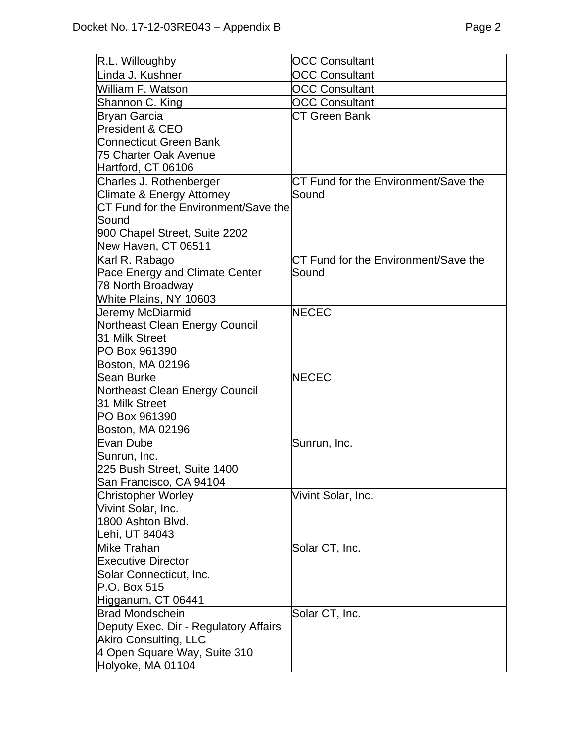| R.L. Willoughby                         | <b>OCC Consultant</b>                |
|-----------------------------------------|--------------------------------------|
| Linda J. Kushner                        | <b>OCC Consultant</b>                |
| William F. Watson                       | <b>OCC Consultant</b>                |
| Shannon C. King                         | <b>OCC Consultant</b>                |
| <b>Bryan Garcia</b>                     | CT Green Bank                        |
| <b>President &amp; CEO</b>              |                                      |
| <b>Connecticut Green Bank</b>           |                                      |
| 75 Charter Oak Avenue                   |                                      |
| Hartford, CT 06106                      |                                      |
| Charles J. Rothenberger                 | CT Fund for the Environment/Save the |
| Climate & Energy Attorney               | Sound                                |
| CT Fund for the Environment/Save the    |                                      |
| Sound                                   |                                      |
| 900 Chapel Street, Suite 2202           |                                      |
| New Haven, CT 06511                     |                                      |
| Karl R. Rabago                          | CT Fund for the Environment/Save the |
| Pace Energy and Climate Center          | Sound                                |
| 78 North Broadway                       |                                      |
| White Plains, NY 10603                  |                                      |
| Jeremy McDiarmid                        | <b>NECEC</b>                         |
| Northeast Clean Energy Council          |                                      |
| 31 Milk Street                          |                                      |
| PO Box 961390                           |                                      |
| Boston, MA 02196                        |                                      |
| Sean Burke                              | <b>NECEC</b>                         |
| Northeast Clean Energy Council          |                                      |
| 31 Milk Street                          |                                      |
| PO Box 961390                           |                                      |
| Boston, MA 02196                        |                                      |
| Evan Dube                               | Sunrun, Inc.                         |
| Sunrun, Inc.                            |                                      |
| 225 Bush Street, Suite 1400             |                                      |
| San Francisco, CA 94104                 |                                      |
| <b>Christopher Worley</b>               | Vivint Solar, Inc.                   |
| Vivint Solar, Inc.<br>1800 Ashton Blvd. |                                      |
| Lehi, UT 84043                          |                                      |
| Mike Trahan                             | Solar CT, Inc.                       |
| <b>Executive Director</b>               |                                      |
| Solar Connecticut, Inc.                 |                                      |
| P.O. Box 515                            |                                      |
| Higganum, CT 06441                      |                                      |
| <b>Brad Mondschein</b>                  | Solar CT, Inc.                       |
| Deputy Exec. Dir - Regulatory Affairs   |                                      |
| Akiro Consulting, LLC                   |                                      |
| 4 Open Square Way, Suite 310            |                                      |
| Holyoke, MA 01104                       |                                      |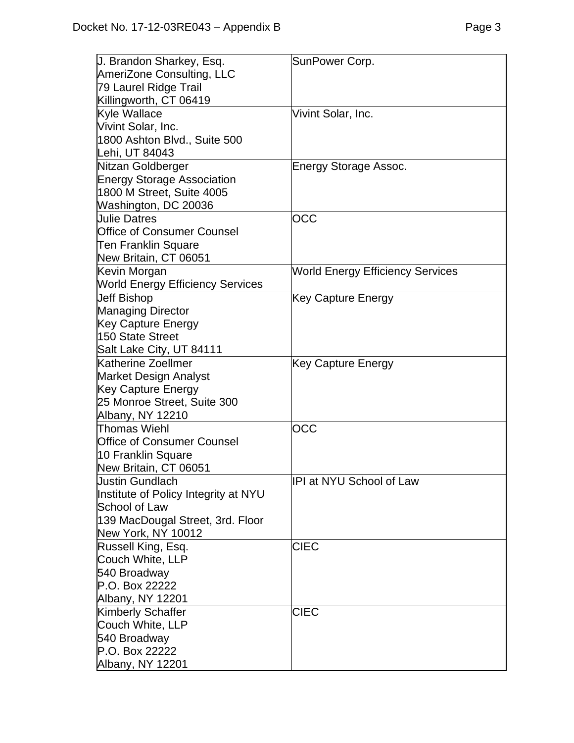| J. Brandon Sharkey, Esq.                | SunPower Corp.                          |
|-----------------------------------------|-----------------------------------------|
| AmeriZone Consulting, LLC               |                                         |
| 79 Laurel Ridge Trail                   |                                         |
| Killingworth, CT 06419                  |                                         |
| Kyle Wallace                            | Vivint Solar, Inc.                      |
| Vivint Solar, Inc.                      |                                         |
| 1800 Ashton Blvd., Suite 500            |                                         |
| Lehi, UT 84043                          |                                         |
| Nitzan Goldberger                       | Energy Storage Assoc.                   |
| <b>Energy Storage Association</b>       |                                         |
| 1800 M Street, Suite 4005               |                                         |
| Washington, DC 20036                    |                                         |
| Uulie Datres                            | <b>OCC</b>                              |
| <b>Office of Consumer Counsel</b>       |                                         |
| <b>Ten Franklin Square</b>              |                                         |
| New Britain, CT 06051                   |                                         |
| Kevin Morgan                            | <b>World Energy Efficiency Services</b> |
| <b>World Energy Efficiency Services</b> |                                         |
| <b>Jeff Bishop</b>                      | Key Capture Energy                      |
| <b>Managing Director</b>                |                                         |
| <b>Key Capture Energy</b>               |                                         |
| 150 State Street                        |                                         |
| Salt Lake City, UT 84111                |                                         |
| Katherine Zoellmer                      | <b>Key Capture Energy</b>               |
| <b>Market Design Analyst</b>            |                                         |
| <b>Key Capture Energy</b>               |                                         |
| 25 Monroe Street, Suite 300             |                                         |
| Albany, NY 12210                        |                                         |
| Thomas Wiehl                            | OCC                                     |
| <b>Office of Consumer Counsel</b>       |                                         |
| 10 Franklin Square                      |                                         |
| New Britain, CT 06051                   |                                         |
| Uustin Gundlach                         | IPI at NYU School of Law                |
| Institute of Policy Integrity at NYU    |                                         |
| <b>School of Law</b>                    |                                         |
| 139 MacDougal Street, 3rd. Floor        |                                         |
| New York, NY 10012                      |                                         |
| Russell King, Esq.                      | <b>CIEC</b>                             |
| Couch White, LLP                        |                                         |
| 540 Broadway                            |                                         |
| P.O. Box 22222                          |                                         |
| Albany, NY 12201                        |                                         |
| <b>Kimberly Schaffer</b>                | <b>CIEC</b>                             |
| Couch White, LLP                        |                                         |
| 540 Broadway                            |                                         |
| P.O. Box 22222                          |                                         |
| Albany, NY 12201                        |                                         |